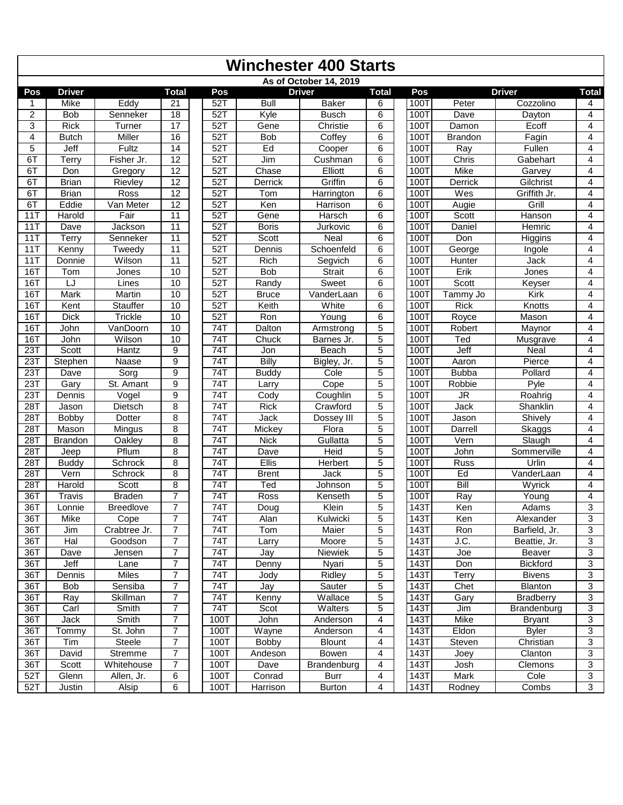|            | <b>Winchester 400 Starts</b> |                      |                                  |  |                  |                           |                              |                     |  |              |                                   |                              |                |  |
|------------|------------------------------|----------------------|----------------------------------|--|------------------|---------------------------|------------------------------|---------------------|--|--------------|-----------------------------------|------------------------------|----------------|--|
|            |                              |                      |                                  |  |                  |                           | As of October 14, 2019       |                     |  |              |                                   |                              |                |  |
| Pos        | <b>Driver</b>                |                      | <b>Total</b>                     |  | Pos              |                           | <b>Driver</b>                | <b>Total</b>        |  | Pos          |                                   | <b>Driver</b>                | <b>Total</b>   |  |
| 1          | Mike                         | Eddy                 | 21                               |  | 52T              | <b>Bull</b>               | <b>Baker</b>                 | 6                   |  | 100T         | Peter                             | Cozzolino                    | 4              |  |
| 2          | <b>Bob</b>                   | Senneker             | 18                               |  | 52T              | Kyle                      | <b>Busch</b>                 | 6                   |  | 100T         | Dave                              | Dayton                       | $\overline{4}$ |  |
| 3          | <b>Rick</b>                  | Turner               | 17                               |  | $52$ T           | Gene                      | Christie                     | 6                   |  | 100T         | Damon                             | Ecoff                        | 4              |  |
| 4          | <b>Butch</b>                 | Miller               | 16                               |  | $52$ T           | <b>Bob</b>                | Coffey                       | 6                   |  | <b>100T</b>  | <b>Brandon</b>                    | Fagin                        | $\overline{4}$ |  |
| 5          | Jeff                         | Fultz                | 14                               |  | $52$ T           | Ed                        | Cooper                       | $\overline{6}$      |  | 100T         | Ray                               | Fullen                       | $\overline{4}$ |  |
| 6T         | Terry                        | Fisher Jr.           | $\overline{12}$                  |  | $52$ T           | Jim                       | Cushman                      | 6                   |  | 100T         | Chris                             | Gabehart                     | 4              |  |
| 6T         | Don                          | Gregory              | $\overline{12}$                  |  | 52T              | Chase                     | Elliott                      | 6                   |  | 100T         | <b>Mike</b>                       | Garvey                       | 4              |  |
| 6T         | <b>Brian</b>                 | Rievley              | $\overline{12}$                  |  | 52T              | Derrick                   | Griffin                      | $\overline{6}$      |  | 1001         | Derrick                           | Gilchrist                    | $\overline{4}$ |  |
| 6T         | <b>Brian</b>                 | Ross                 | $\overline{12}$                  |  | $52$ T           | Tom                       | Harrington                   | 6                   |  | 100T         | Wes                               | Griffith Jr.                 | $\overline{4}$ |  |
| 6T         | Eddie                        | Van Meter            | $\overline{12}$                  |  | $52$ T           | Ken                       | Harrison                     | 6                   |  | 100T         | Augie                             | Grill                        | 4              |  |
| 11T        | Harold                       | Fair                 | $\overline{11}$                  |  | $52$ T           | Gene                      | Harsch                       | $\overline{6}$      |  | 100T         | Scott                             | Hanson                       | $\overline{4}$ |  |
| 11T        | Dave                         | Jackson              | $\overline{11}$                  |  | $52$ T           | <b>Boris</b>              | Jurkovic                     | 6                   |  | 100T         | Daniel                            | Hemric                       | 4              |  |
| 11T        | Terry                        | Senneker             | 11                               |  | 52T              | Scott                     | <b>Neal</b>                  | 6                   |  | 100T         | Don                               | Higgins                      | 4              |  |
| 11T        | Kenny                        | Tweedy               | 11                               |  | 52T              | Dennis                    | Schoenfeld                   | 6                   |  | 1001         | George                            | Ingole                       | $\overline{4}$ |  |
| 11T        | Donnie                       | Wilson               | 11                               |  | $52$ T           | <b>Rich</b>               | Segvich                      | 6                   |  | 100T         | Hunter                            | <b>Jack</b>                  | $\overline{4}$ |  |
| 16T        | Tom                          | Jones                | 10                               |  | $52$ T           | <b>Bob</b>                | Strait                       | $\overline{6}$      |  | 1001         | Erik                              | Jones                        | $\overline{4}$ |  |
| 16T        | LJ                           | Lines                | 10                               |  | 52T              | Randy                     | Sweet                        | 6                   |  | 1001         | Scott                             | Keyser                       | 4              |  |
| 16T        | Mark                         | Martin               | 10                               |  | 52T              | <b>Bruce</b>              | VanderLaan                   | 6                   |  | 100T         | Tammy Jo                          | Kirk                         | $\overline{4}$ |  |
| 16T        | Kent                         | Stauffer             | 10                               |  | 52T              | Keith                     | White                        | 6                   |  | 100T         | <b>Rick</b>                       | Knotts                       | $\overline{4}$ |  |
| 16T        | <b>Dick</b>                  | Trickle              | 10                               |  | $52$ T           | Ron                       | Young                        | 6                   |  | 100T         | Royce                             | Mason                        | $\overline{4}$ |  |
| 16T        | John                         | VanDoorn             | 10                               |  | $\overline{74T}$ | Dalton                    | Armstrong                    | $\overline{5}$      |  | 100T         | Robert                            | Maynor                       | $\overline{4}$ |  |
| 16T        | John                         | Wilson               | 10                               |  | $\overline{74}$  | Chuck                     | Barnes Jr.                   | $\overline{5}$      |  | 1001         | Ted                               | Musgrave                     | $\overline{4}$ |  |
| 23T        | Scott                        | Hantz                | 9                                |  | $\overline{74}$  | Jon                       | Beach                        | $\overline{5}$      |  | 100T         | Jeff                              | Neal                         | 4              |  |
| 23T        | Stephen                      | <b>Naase</b>         | 9                                |  | 74T              | <b>Billy</b>              | Bigley, Jr.                  | $\overline{5}$      |  | 100T         | Aaron                             | Pierce                       | $\overline{4}$ |  |
| 23T        | Dave                         | Sorg                 | 9                                |  | 74T              | <b>Buddy</b>              | Cole                         | 5                   |  | 100T         | <b>Bubba</b>                      | Pollard                      | 4              |  |
| 23T        | Gary                         | St. Amant            | 9                                |  | $\overline{74T}$ | Larry                     | Cope                         | $\overline{5}$      |  | 100T         | Robbie                            | Pyle                         | $\overline{4}$ |  |
| 23T        | Dennis                       | $\overline{V}$ ogel  | $\overline{9}$                   |  | 74T              | Cody                      | Coughlin                     | $\overline{5}$      |  | 100T         | $\overline{\mathsf{J}\mathsf{R}}$ | Roahrig                      | $\overline{4}$ |  |
| 28T        | Jason                        | Dietsch              | 8                                |  | 74T              | <b>Rick</b>               | Crawford                     | $\overline{5}$      |  | 100T         | Jack                              | Shanklin                     | 4              |  |
| 28T        | Bobby                        | <b>Dotter</b>        | 8                                |  | $\overline{74T}$ | Jack                      | Dossey III                   | $\overline{5}$      |  | 1001         | Jason                             | Shively                      | 4              |  |
| 28T        | Mason                        | Mingus               | $\overline{8}$                   |  | 74T              | Mickey                    | Flora                        | $\overline{5}$      |  | 100T         | <b>Darrell</b>                    | Skaggs                       | $\overline{4}$ |  |
| 28T        | <b>Brandon</b>               | Oakley               | 8                                |  | 74T              | <b>Nick</b>               | Gullatta                     | 5                   |  | 100T         | Vern                              | Slaugh                       | 4              |  |
| 28T        | Jeep                         | Pflum                | 8                                |  | $\overline{74T}$ | Dave                      | Heid                         | $\overline{5}$      |  | 100T         | John                              | Sommerville                  | 4              |  |
| 28T        | <b>Buddy</b>                 | Schrock              | $\overline{8}$                   |  | $74$ T           | <b>Ellis</b>              | <b>Herbert</b>               | $\overline{5}$      |  | 1001         | Russ                              | Urlin                        | $\overline{4}$ |  |
| 28T        | Vern                         | Schrock              | 8                                |  | 74T              | <b>Brent</b>              | Jack                         | $\overline{5}$      |  | 1001         | Ed                                | VanderLaan                   | 4              |  |
| 28T        | Harold                       | Scott                | 8                                |  | 74T              | Ted                       | Johnson                      | $\overline{5}$      |  | 100T         | Bill                              | Wyrick                       | 4              |  |
| 36T<br>36T | Travis                       | <b>Braden</b>        | $\overline{7}$<br>$\overline{7}$ |  | 741              | Ross                      | Kenseth                      | $\overline{5}$<br>5 |  | 100T         | Ray                               | Young                        | 4<br>3         |  |
|            | Lonnie                       | Breedlove            | $\overline{7}$                   |  | 74T              | Doug                      | Klein<br>Kulwicki            | 5                   |  | 143T         | Ken                               | Adams                        | 3              |  |
| 36T<br>36T | Mike                         | Cope<br>Crabtree Jr. | 7                                |  | 74T              | Alan<br>$\overline{T}$ om | Maier                        |                     |  | 143T<br>143T | Ken<br>Ron                        | Alexander<br>Barfield, Jr.   | 3              |  |
| 36T        | Jim<br><b>Hal</b>            | Goodson              | $\overline{7}$                   |  | 74T<br>74T       |                           | Moore                        | 5<br>5              |  | 143T         | J.C.                              | Beattie, Jr.                 | $\mathbf{3}$   |  |
| 36T        | Dave                         | Jensen               | $\overline{7}$                   |  | 74T              | Larry<br>Jay              | Niewiek                      | 5                   |  | 143T         | Joe                               | Beaver                       | 3              |  |
| 36T        | Jeff                         | Lane                 | $\overline{7}$                   |  | 74T              |                           | Nyari                        | 5                   |  | 143T         | Don                               | <b>Bickford</b>              | 3              |  |
| 36T        | Dennis                       | Miles                | 7                                |  | 74T              | Denny<br>Jody             | Ridley                       | 5                   |  | 143T         | Terry                             | <b>Bivens</b>                | 3              |  |
| 36T        | <b>Bob</b>                   | Sensiba              | 7                                |  | 74T              | Jay                       | Sauter                       | 5                   |  | 143T         | Chet                              | Blanton                      | $\overline{3}$ |  |
|            | Ray                          | Skillman             | 7                                |  | 74T              | Kenny                     | $\overline{\text{W}}$ allace | 5                   |  | 143T         | Gary                              |                              | 3              |  |
| 36T        |                              | Smith                | 7                                |  | 74T              |                           | Walters                      | 5                   |  | 143T         |                                   | <b>Bradberry</b>             | $\mathbf{3}$   |  |
| 36T<br>36T | Carl<br>Jack                 | Smith                | $\overline{7}$                   |  | 100T             | Scot<br>John              | Anderson                     | 4                   |  | 143T         | Jim<br>Mike                       | Brandenburg<br><b>Bryant</b> | $\overline{3}$ |  |
| 36T        | Tommy                        | St. John             | $\overline{7}$                   |  | 100T             | Wayne                     | Anderson                     | 4                   |  | 143T         | Eldon                             | <b>Byler</b>                 | 3              |  |
| 36T        | Tim                          | Steele               | $\overline{7}$                   |  | 100T             | Bobby                     | <b>Blount</b>                | 4                   |  | 143T         | Steven                            | Christian                    | $\mathbf{3}$   |  |
| 36T        | David                        | Stremme              | 7                                |  | 100T             | Andeson                   | Bowen                        | 4                   |  | 143T         |                                   | Clanton                      | 3              |  |
| 36T        | Scott                        | Whitehouse           | 7                                |  | 100T             | Dave                      | Brandenburg                  | 4                   |  | 143T         | Joey<br>Josh                      | Clemons                      | $\mathbf{3}$   |  |
| 52T        | Glenn                        | Allen, Jr.           | 6                                |  | 100T             | Conrad                    | Burr                         | 4                   |  | 143T         | Mark                              | Cole                         | $\overline{3}$ |  |
|            |                              |                      |                                  |  |                  |                           | Burton                       | 4                   |  | 143T         |                                   |                              | 3              |  |
| 52T        | Justin                       | Alsip                | 6                                |  | 100T             | Harrison                  |                              |                     |  |              | Rodney                            | Combs                        |                |  |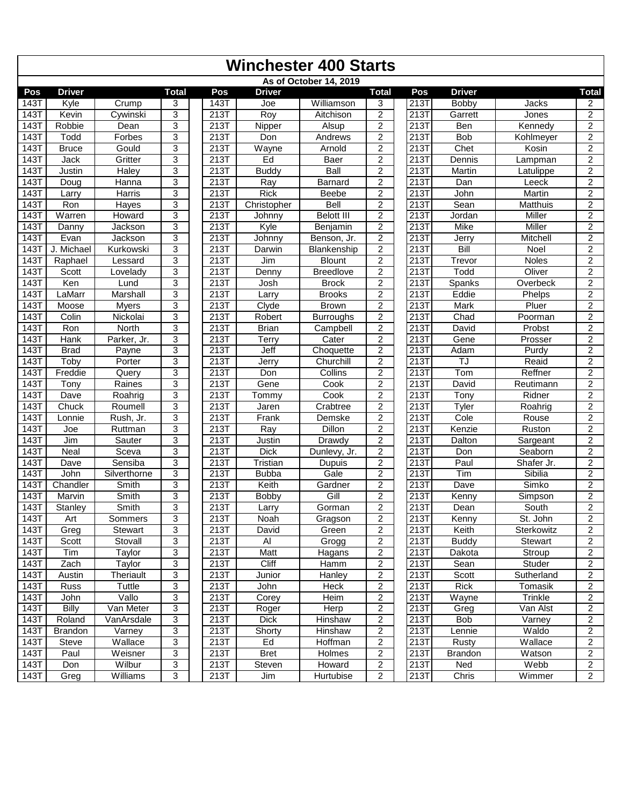|                   | <b>Winchester 400 Starts</b> |                     |                |  |                    |               |                        |                     |  |                              |                    |                 |                         |  |
|-------------------|------------------------------|---------------------|----------------|--|--------------------|---------------|------------------------|---------------------|--|------------------------------|--------------------|-----------------|-------------------------|--|
|                   |                              |                     |                |  |                    |               | As of October 14, 2019 |                     |  |                              |                    |                 |                         |  |
| Pos               | <b>Driver</b>                |                     | <b>Total</b>   |  | Pos                | <b>Driver</b> |                        | <b>Total</b>        |  | Pos                          | <b>Driver</b>      |                 | <b>Total</b>            |  |
| 143T              | Kyle                         | $\overline{C}$ rump | 3              |  | 143T               | Joe           | Williamson             | 3                   |  | 213T                         | Bobby              | Jacks           | 2                       |  |
| 143T              | Kevin                        | Cywinski            | 3              |  | 213T               | Roy           | Aitchison              | $\overline{2}$      |  | 213T                         | Garrett            | <b>Jones</b>    | $\overline{2}$          |  |
| <b>143T</b>       | Robbie                       | Dean                | $\overline{3}$ |  | 213T               | Nipper        | Alsup                  | $\overline{2}$      |  | 213T                         | Ben                | Kennedy         | $\overline{2}$          |  |
| 143               | Todd                         | Forbes              | 3              |  | 213T               | Don           | Andrews                | $\overline{2}$      |  | 213T                         | <b>Bob</b>         | Kohlmeyer       | $\overline{2}$          |  |
| 143T              | <b>Bruce</b>                 | Gould               | 3              |  | 213T               | Wayne         | Arnold                 | $\overline{c}$      |  | 213T                         | Chet               | Kosin           | $\overline{2}$          |  |
| 143T              | Jack                         | Gritter             | $\overline{3}$ |  | 213T               | Ed            | Baer                   | $\overline{2}$      |  | 213T                         | Dennis             | Lampman         | $\overline{2}$          |  |
| 143T              | Justin                       | Haley               | 3              |  | 213T               | <b>Buddy</b>  | Ball                   | $\overline{c}$      |  | 213T                         | Martin             | Latulippe       | $\overline{2}$          |  |
| 143T              | Doug                         | Hanna               | 3              |  | 213T               | Ray           | Barnard                | $\overline{c}$      |  | 213T                         | Dan                | Leeck           | $\overline{2}$          |  |
| 143T              | Larry                        | Harris              | $\overline{3}$ |  | 213T               | <b>Rick</b>   | Beebe                  | $\overline{c}$      |  | 213T                         | John               | Martin          | $\overline{2}$          |  |
| 143T              | Ron                          | <b>Hayes</b>        | 3              |  | 213T               | Christopher   | Bell                   | $\overline{2}$      |  | 213T                         | Sean               | <b>Matthuis</b> | $\overline{2}$          |  |
| <b>143T</b>       | Warren                       | Howard              | 3              |  | 213T               | Johnny        | <b>Belott III</b>      | $\overline{c}$      |  | 213T                         | Jordan             | Miller          | $\overline{2}$          |  |
| 143               | Danny                        | Jackson             | 3              |  | $\overline{213}$ T | Kyle          | Benjamin               | $\overline{c}$      |  | 213T                         | Mike               | Miller          | $\overline{a}$          |  |
| 143T              | Evan                         | Jackson             | 3              |  | 213T               | Johnny        | Benson, Jr.            | $\overline{2}$      |  | 213T                         | Jerry              | Mitchell        | $\overline{c}$          |  |
| 143T              | J. Michael                   | Kurkowski           | $\overline{3}$ |  | 213T               | Darwin        | Blankenship            | $\overline{2}$      |  | 213T                         | Bill               | Noel            | $\overline{2}$          |  |
| 143T              | Raphael                      | Lessard             | 3              |  | 213T               | Jim           | <b>Blount</b>          | $\overline{2}$      |  | 213T                         | Trevor             | <b>Noles</b>    | $\overline{2}$          |  |
| 143T              | Scott                        | Lovelady            | 3              |  | 213T               | Denny         | <b>Breedlove</b>       | $\overline{2}$      |  | 213T                         | Todd               | Oliver          | $\overline{c}$          |  |
| 143               | Ken                          | Lund                | 3              |  | 213T               | Josh          | <b>Brock</b>           | $\overline{2}$      |  | 213T                         | Spanks             | Overbeck        | $\overline{2}$          |  |
| <b>143T</b>       | LaMarr                       | Marshall            | 3              |  | 213T               | Larry         | <b>Brooks</b>          | $\overline{2}$      |  | 213T                         | Eddie              | Phelps          | $\overline{2}$          |  |
| 143T              | Moose                        | <b>Myers</b>        | 3              |  | 213T               | Clyde         | <b>Brown</b>           | $\overline{c}$      |  | 213T                         | Mark               | Pluer           | 2                       |  |
| 143T              | Colin                        | Nickolai            | 3              |  | 213T               | Robert        | <b>Burroughs</b>       | $\overline{2}$      |  | 213T                         | Chad               | Poorman         | $\overline{2}$          |  |
| <b>143T</b>       | Ron                          | North               | 3              |  | 213T               | <b>Brian</b>  | Campbell               | $\overline{2}$      |  | 213T                         | David              | Probst          | $\overline{2}$          |  |
| 143T              | Hank                         | Parker, Jr.         | 3              |  | 213T               | <b>Terry</b>  | Cater                  | $\overline{2}$      |  | 213T                         | Gene               | Prosser         | $\overline{2}$          |  |
| $\overline{1431}$ | <b>Brad</b>                  | Payne               | 3              |  | 213T               | Jeff          | Choquette              | $\overline{2}$      |  | 213T                         | Adam               | Purdy           | $\overline{2}$          |  |
| <b>143T</b>       | Toby                         | Porter              | 3              |  | 213T               | Jerry         | Churchill              | $\overline{2}$      |  | 213T                         | TJ                 | Reaid           | $\overline{2}$          |  |
| 143               | Freddie                      | Query               | 3              |  | 213T               | Don           | Collins                | $\overline{2}$      |  | 213T                         | Tom                | Reffner         | $\overline{2}$          |  |
| $\overline{143}$  | Tony                         | Raines              | 3              |  | 213T               | Gene          | Cook                   | $\overline{c}$      |  | 213T                         | David              | Reutimann       | $\overline{2}$          |  |
| 143T              | Dave                         | Roahrig             | 3              |  | 213T               | Tommy         | Cook                   | $\overline{c}$      |  | 213T                         | $\overline{T}$ ony | Ridner          | $\overline{2}$          |  |
| 143T              | Chuck                        | Roumell             | $\overline{3}$ |  | 213T               | Jaren         | Crabtree               | $\overline{2}$      |  | 213T                         | Tyler              | Roahrig         | $\overline{2}$          |  |
| 143               | Lonnie                       | Rush, Jr.           | 3              |  | 213T               | Frank         | Demske                 | $\overline{2}$      |  | 213T                         | Cole               | Rouse           | $\overline{c}$          |  |
| 143T              | Joe                          | Ruttman             | 3              |  | 213T               | Ray           | <b>Dillon</b>          | $\overline{2}$      |  | 213T                         | Kenzie             | Ruston          | $\overline{2}$          |  |
| 143T              | Jim                          | Sauter              | $\overline{3}$ |  | 213T               | Justin        | Drawdy                 | $\overline{2}$      |  | 213T                         | Dalton             | Sargeant        | $\overline{2}$          |  |
| 143               | Neal                         | Sceva               | 3              |  | 213T               | <b>Dick</b>   | Dunlevy, Jr.           | $\overline{c}$      |  | $2\overline{13}\overline{1}$ | Don                | Seaborn         | $\overline{2}$          |  |
| 143T              | Dave                         | Sensiba             | 3              |  | 213T               | Tristian      | Dupuis                 | $\overline{c}$      |  | 213T                         | Paul               | Shafer Jr.      | $\overline{2}$          |  |
| 143T              | John                         | Silverthorne        | 3              |  | 213T               | <b>Bubba</b>  | Gale                   | $\overline{2}$      |  | 213T                         | Tim                | Sibilia         | $\overline{2}$          |  |
| <b>143T</b>       | Chandler                     | Smith               | 3              |  | 213T               | Keith         | Gardner                | $\overline{2}$      |  | 213T                         | Dave               | Simko           | $\overline{2}$          |  |
| 143T              | Marvin                       | Smith               | 3              |  | 213T               | <b>Bobby</b>  | Gill                   | $\overline{2}$      |  | 213T                         | Kenny              | Simpson         | $\mathbf{2}$            |  |
| 143T              | Stanley                      | Smith               | $\overline{3}$ |  | 213T               | Larry         | Gorman                 | $\overline{2}$      |  | 213T                         | Dean               | South           | $\overline{2}$          |  |
| 143T              | Art                          | Sommers             | 3              |  | 213T               | Noah          | Gragson                | $\overline{2}$      |  | 213T                         | Kenny              | St. John        | 2                       |  |
| 143T              | Greg                         | Stewart             | 3              |  | 213T               |               | Green                  |                     |  | 213T                         | Keith              | Sterkowitz      | $\overline{2}$          |  |
|                   | Scott                        |                     | 3              |  | 213T               | David<br>Al   |                        | 2<br>$\overline{c}$ |  | 213T                         |                    | Stewart         | $\overline{2}$          |  |
| 143T              | Tim                          | Stovall             |                |  |                    |               | Grogg                  |                     |  | 213T                         | <b>Buddy</b>       |                 | $\overline{c}$          |  |
| 143T              |                              | Taylor              | 3<br>3         |  | 213T               | Matt<br>Cliff | Hagans                 | $\overline{c}$      |  | 213T                         | Dakota             | Stroup          | $\overline{2}$          |  |
| 143T              | Zach                         | Taylor              |                |  | 213T               |               | Hamm                   | $\overline{c}$      |  |                              | Sean               | Studer          |                         |  |
| 143T              | Austin                       | Theriault           | 3              |  | 213T               | Junior        | Hanley                 | $\overline{c}$      |  | 213T                         | Scott              | Sutherland      | $\overline{2}$          |  |
| 143T              | Russ                         | Tuttle              | 3              |  | 213T               | John          | Heck                   | 2                   |  | 213T                         | Rick               | Tomasik         | 2                       |  |
| 143T              | John                         | Vallo               | 3              |  | 213T               | Corey         | Heim                   | $\overline{c}$      |  | 213T                         | Wayne              | Trinkle         | $\overline{c}$          |  |
| 143T              | Billy                        | Van Meter           | 3              |  | 213T               | Roger         | Herp                   | $\overline{c}$      |  | 213T                         | Greg               | Van Alst        | $\overline{2}$          |  |
| 143T              | Roland                       | VanArsdale          | 3              |  | 213T               | <b>Dick</b>   | Hinshaw                | $\overline{c}$      |  | 213T                         | Bob                | Varney          | 2                       |  |
| 143T              | <b>Brandon</b>               | Varney              | 3              |  | 213T               | Shorty        | Hinshaw                | $\overline{c}$      |  | 213T                         | Lennie             | Waldo           | $\overline{\mathbf{c}}$ |  |
| 143T              | Steve                        | Wallace             | 3              |  | 213T               | Ed            | Hoffman                | $\overline{c}$      |  | 213T                         | Rusty              | Wallace         | $\overline{2}$          |  |
| 143T              | Paul                         | Weisner             | 3              |  | 213T               | Bret          | Holmes                 | 2                   |  | 213T                         | <b>Brandon</b>     | Watson          | $\overline{2}$          |  |
| 143T              | Don                          | Wilbur              | 3              |  | 213T               | Steven        | Howard                 | 2                   |  | 213T                         | Ned                | Webb            | $\overline{2}$          |  |
| 143T              | Greg                         | Williams            | 3              |  | 213T               | Jim           | Hurtubise              | 2                   |  | 213T                         | Chris              | Wimmer          | $\overline{2}$          |  |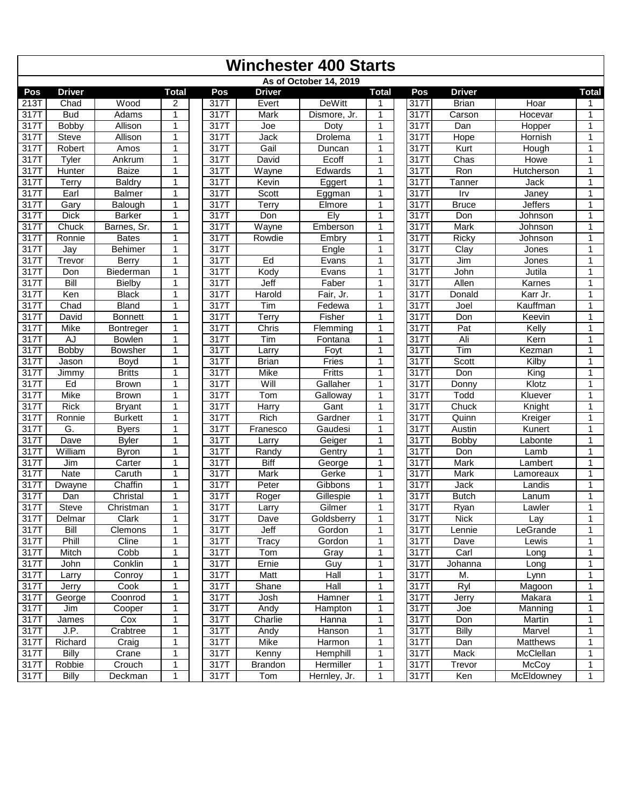| As of October 14, 2019<br><b>Driver</b><br><b>Driver</b><br><b>Total</b><br>Pos<br><b>Driver</b><br><b>Total</b><br>Pos<br><b>Total</b><br>Pos<br><b>DeWitt</b><br>213T<br>Wood<br>317T<br>317T<br><b>Brian</b><br>Hoar<br>Chad<br>Evert<br>2<br>1<br>317T<br><b>Bud</b><br>Adams<br>317T<br>Mark<br>317T<br>Carson<br>Hocevar<br>1<br>Dismore, Jr.<br>1<br>1<br>317T<br>Bobby<br>Allison<br>1<br>317T<br>1<br>317T<br>Dan<br>Hopper<br>Joe<br>Doty<br>1<br>1<br>317T<br><b>Steve</b><br>1<br>317T<br>Drolema<br>317T<br>Hornish<br>Allison<br>Jack<br>Hope<br>1<br>317T<br>317T<br>Gail<br>317<br>Robert<br>1<br>Duncan<br>1<br>Kurt<br>Hough<br>Amos<br>1<br>317T<br>317T<br>Ecoff<br>1<br>317T<br>Chas<br><b>Howe</b><br>Tyler<br>Ankrum<br>1<br>David<br>1<br>Ron<br>317T<br>Baize<br>317T<br>Wayne<br>Edwards<br>1<br>317T<br>Hutcherson<br>Hunter<br>1<br>1<br>317T<br>317T<br><b>Baldry</b><br>Kevin<br>1<br>317T<br>Tanner<br>Terry<br>1<br>Eggert<br>Jack<br>1<br>Scott<br>1<br>317T<br>Earl<br>Balmer<br>317T<br>317T<br>Irv<br>Janey<br>1<br>Eggman<br>1<br>317T<br>317T<br>Elmore<br>1<br>317T<br><b>Bruce</b><br><b>Jeffers</b><br>Gary<br>Balough<br>1<br>Terry<br>1<br>Ely<br>317T<br><b>Dick</b><br>317T<br>3171<br><b>Barker</b><br>1<br>Don<br>1<br>Don<br>Johnson<br>1<br>317T<br>1<br>Chuck<br>Barnes, Sr.<br>317T<br>Wayne<br>Emberson<br>317T<br><b>Mark</b><br>1<br>Johnson<br>1<br>317T<br>317T<br>Rowdie<br>Embry<br>1<br>317T<br>Ricky<br>Johnson<br>Ronnie<br><b>Bates</b><br>1<br>1<br>317T<br>Behimer<br>317T<br>1<br>317T<br>Clay<br>1<br>Engle<br>Jones<br>Jay<br>1<br>$\overline{317}$ T<br>Ed<br>1<br>Trevor<br>Berry<br>1<br>317T<br>317T<br>Jim<br><b>Jones</b><br>Evans<br>1<br>1<br>317T<br>Kody<br>Jutila<br>Biederman<br>1<br>317T<br>Evans<br>317T<br>John<br>Don<br>1<br>317T<br>Bill<br>317T<br>Jeff<br>1<br>Faber<br>1<br>317T<br>Allen<br>Karnes<br>Bielby<br>1<br>317T<br><b>Black</b><br>Ken<br>1<br>317T<br>Harold<br>Fair, Jr.<br>1<br>3177<br>Donald<br>Karr Jr.<br>1<br>317T<br><b>Bland</b><br>317T<br>1<br>3171<br>Chad<br>1<br>Tim<br>Fedewa<br>Joel<br>Kauffman<br>1<br>317T<br>Terry<br>Fisher<br>David<br><b>Bonnett</b><br>317T<br>1<br>317T<br>Don<br>Keevin<br>1<br>1<br>317T<br>317T<br>Chris<br>$F$ lemming<br>1<br>317T<br>Pat<br>Kelly<br>Mike<br>Bontreger<br>1<br>1<br>Ali<br>317T<br>317T<br>Tim<br>1<br>317T<br>Kern<br>AJ<br>1<br>1<br><b>Bowlen</b><br>Fontana<br><b>Bobby</b><br>317T<br>1<br>Tim<br>317T<br><b>Bowsher</b><br>1<br>317T<br>Foyt<br>Kezman<br>1<br>Larry<br>317T<br>317T<br>$\mathbf{1}$<br>317<br>Scott<br>1<br><b>Brian</b><br>Fries<br>Kilby<br>Jason<br>Boyd<br>1<br>317T<br><b>Britts</b><br>317T<br>Mike<br>Fritts<br>1<br>317T<br>Don<br>King<br>Jimmy<br>1<br>1<br>Will<br>Klotz<br>317T<br>Ed<br>317T<br>Gallaher<br>1<br>317T<br><b>Brown</b><br>Donny<br>1<br>1<br>Tom<br>317T<br>317T<br>Mike<br><b>Brown</b><br>Galloway<br>1<br>317T<br>Todd<br>Kluever<br>1<br>1<br>317T<br>$\mathbf{1}$<br><b>Rick</b><br>317T<br>Harry<br>Gant<br>3171<br>Chuck<br>Knight<br><b>Bryant</b><br>1<br>1<br>Rich<br>1<br>317T<br>1<br>317T<br>3177<br>Quinn<br>Ronnie<br><b>Burkett</b><br>Gardner<br>Kreiger<br>1<br>G.<br>317T<br>317T<br><b>Byers</b><br>1<br>Gaudesi<br>1<br>3177<br>Austin<br>Kunert<br>Franesco<br>1<br>317T<br>Dave<br><b>Byler</b><br>317T<br>1<br>317T<br><b>Bobby</b><br>1<br>Larry<br>Geiger<br>Labonte<br>1<br>317T<br>William<br>317T<br>Gentry<br>1<br>317T<br>Don<br>Lamb<br>Byron<br>1<br>Randy<br>1<br>317T<br><b>Biff</b><br>317T<br>1<br>George<br>1<br>317T<br>Mark<br>Jim<br>Carter<br>Lambert<br>1<br>1<br>317T<br>Nate<br>Caruth<br>1<br>317T<br>Mark<br>Gerke<br>317T<br>Mark<br>Lamoreaux<br>1<br>Chaffin<br>317T<br>317T<br>Peter<br>Gibbons<br>1<br>317T<br>Jack<br>Dwayne<br>1<br>Landis<br>1<br>317T<br>Christal<br>1<br>317T<br>Gillespie<br>$\mathbf{1}$<br>317T<br><b>Butch</b><br>Dan<br>Roger<br>1<br>Lanum<br>317T<br>Steve<br>317T<br>1<br>317T<br>Christman<br>1<br>Gilmer<br>Ryan<br>$\mathbf{1}$<br>Lawler<br>Larry<br>317T<br>317T<br>Clark<br>$\mathbf{1}$<br>317T<br>Goldsberry<br>$\mathbf{1}$<br><b>Nick</b><br>1<br>Delmar<br>Dave<br>Lay<br>317T<br>Bill<br>Clemons<br>317T<br>Gordon<br>317T<br>Jeff<br>1<br>LeGrande<br>1<br>Lennie<br>1<br>317T<br>Phill<br>Cline<br>317T<br>Tracy<br>Gordon<br>1<br>317T<br>1<br>Lewis<br>Dave<br>1<br>1<br>317T<br>Mitch<br>Cobb<br>1<br>317T<br>Gray<br>317T<br>Carl<br>Tom<br>Long<br>$\mathbf{1}$<br>317T<br>Conklin<br>1<br>317T<br>1<br>317T<br>Ernie<br>Guy<br>$\mathbf{1}$<br>John<br>Johanna<br>Long<br>317T<br>1<br>317T<br>Conroy<br>1<br>317T<br>Matt<br>Hall<br>M.<br>Larry<br>Lynn<br>1<br>317T<br>317T<br>Hall<br>1<br>317T<br>Ryl<br>Cook<br>1<br>Shane<br>Magoon<br>1<br>Jerry<br>317 <sup>T</sup><br>317T<br>317T<br>Makara<br>George<br>Coonrod<br>Josh<br>Hamner<br>1<br>Jerry<br>1<br>1<br>317T<br>$\overline{31}7$<br>317T<br>Cooper<br>Andy<br>Hampton<br>1<br>Jim<br>1<br>Joe<br>Manning<br>1<br>1<br>317T<br>Cox<br>1<br>317T<br>Charlie<br>317T<br>Martin<br>James<br>Hanna<br>Don<br>$\mathbf{1}$<br>J.P.<br>317T<br>1<br>$317\overline{7}$<br><b>Billy</b><br>Marvel<br>317T<br>Crabtree<br>1<br>Andy<br>Hanson<br>$\mathbf{1}$<br>317T<br>Richard<br>Mike<br>Craig<br>1<br>317T<br>Harmon<br>1<br>317T<br>Matthews<br>Dan<br>1<br>317T<br><b>Hemphill</b><br>1<br>317T<br>McClellan<br><b>Billy</b><br>Crane<br>1<br>317T<br>Kenny<br>Mack<br>1<br>Crouch<br>Hermiller<br>317T<br>Robbie<br>317T<br><b>Brandon</b><br>1<br>317T<br>Trevor<br>McCoy<br>$\mathbf{1}$<br>1 |      | <b>Winchester 400 Starts</b> |         |  |      |     |              |   |  |      |     |            |   |  |
|-------------------------------------------------------------------------------------------------------------------------------------------------------------------------------------------------------------------------------------------------------------------------------------------------------------------------------------------------------------------------------------------------------------------------------------------------------------------------------------------------------------------------------------------------------------------------------------------------------------------------------------------------------------------------------------------------------------------------------------------------------------------------------------------------------------------------------------------------------------------------------------------------------------------------------------------------------------------------------------------------------------------------------------------------------------------------------------------------------------------------------------------------------------------------------------------------------------------------------------------------------------------------------------------------------------------------------------------------------------------------------------------------------------------------------------------------------------------------------------------------------------------------------------------------------------------------------------------------------------------------------------------------------------------------------------------------------------------------------------------------------------------------------------------------------------------------------------------------------------------------------------------------------------------------------------------------------------------------------------------------------------------------------------------------------------------------------------------------------------------------------------------------------------------------------------------------------------------------------------------------------------------------------------------------------------------------------------------------------------------------------------------------------------------------------------------------------------------------------------------------------------------------------------------------------------------------------------------------------------------------------------------------------------------------------------------------------------------------------------------------------------------------------------------------------------------------------------------------------------------------------------------------------------------------------------------------------------------------------------------------------------------------------------------------------------------------------------------------------------------------------------------------------------------------------------------------------------------------------------------------------------------------------------------------------------------------------------------------------------------------------------------------------------------------------------------------------------------------------------------------------------------------------------------------------------------------------------------------------------------------------------------------------------------------------------------------------------------------------------------------------------------------------------------------------------------------------------------------------------------------------------------------------------------------------------------------------------------------------------------------------------------------------------------------------------------------------------------------------------------------------------------------------------------------------------------------------------------------------------------------------------------------------------------------------------------------------------------------------------------------------------------------------------------------------------------------------------------------------------------------------------------------------------------------------------------------------------------------------------------------------------------------------------------------------------------------------------------------------------------------------------------------------------------------------------------------------------------------------------------------------------------------------------------------------------------------------------------------------------------------------------------------------------------------------------------------------------------------------------------------------------------------------------------------------------------------------------------------------------------------------------------------------------------------------------------------------------------------------------------------------------------------------------------------------------------------------------------------------------------------------------------------------------------------------------------------------------------|------|------------------------------|---------|--|------|-----|--------------|---|--|------|-----|------------|---|--|
|                                                                                                                                                                                                                                                                                                                                                                                                                                                                                                                                                                                                                                                                                                                                                                                                                                                                                                                                                                                                                                                                                                                                                                                                                                                                                                                                                                                                                                                                                                                                                                                                                                                                                                                                                                                                                                                                                                                                                                                                                                                                                                                                                                                                                                                                                                                                                                                                                                                                                                                                                                                                                                                                                                                                                                                                                                                                                                                                                                                                                                                                                                                                                                                                                                                                                                                                                                                                                                                                                                                                                                                                                                                                                                                                                                                                                                                                                                                                                                                                                                                                                                                                                                                                                                                                                                                                                                                                                                                                                                                                                                                                                                                                                                                                                                                                                                                                                                                                                                                                                                                                                                                                                                                                                                                                                                                                                                                                                                                                                                                                                                                           |      |                              |         |  |      |     |              |   |  |      |     |            |   |  |
|                                                                                                                                                                                                                                                                                                                                                                                                                                                                                                                                                                                                                                                                                                                                                                                                                                                                                                                                                                                                                                                                                                                                                                                                                                                                                                                                                                                                                                                                                                                                                                                                                                                                                                                                                                                                                                                                                                                                                                                                                                                                                                                                                                                                                                                                                                                                                                                                                                                                                                                                                                                                                                                                                                                                                                                                                                                                                                                                                                                                                                                                                                                                                                                                                                                                                                                                                                                                                                                                                                                                                                                                                                                                                                                                                                                                                                                                                                                                                                                                                                                                                                                                                                                                                                                                                                                                                                                                                                                                                                                                                                                                                                                                                                                                                                                                                                                                                                                                                                                                                                                                                                                                                                                                                                                                                                                                                                                                                                                                                                                                                                                           |      |                              |         |  |      |     |              |   |  |      |     |            |   |  |
|                                                                                                                                                                                                                                                                                                                                                                                                                                                                                                                                                                                                                                                                                                                                                                                                                                                                                                                                                                                                                                                                                                                                                                                                                                                                                                                                                                                                                                                                                                                                                                                                                                                                                                                                                                                                                                                                                                                                                                                                                                                                                                                                                                                                                                                                                                                                                                                                                                                                                                                                                                                                                                                                                                                                                                                                                                                                                                                                                                                                                                                                                                                                                                                                                                                                                                                                                                                                                                                                                                                                                                                                                                                                                                                                                                                                                                                                                                                                                                                                                                                                                                                                                                                                                                                                                                                                                                                                                                                                                                                                                                                                                                                                                                                                                                                                                                                                                                                                                                                                                                                                                                                                                                                                                                                                                                                                                                                                                                                                                                                                                                                           |      |                              |         |  |      |     |              |   |  |      |     |            |   |  |
|                                                                                                                                                                                                                                                                                                                                                                                                                                                                                                                                                                                                                                                                                                                                                                                                                                                                                                                                                                                                                                                                                                                                                                                                                                                                                                                                                                                                                                                                                                                                                                                                                                                                                                                                                                                                                                                                                                                                                                                                                                                                                                                                                                                                                                                                                                                                                                                                                                                                                                                                                                                                                                                                                                                                                                                                                                                                                                                                                                                                                                                                                                                                                                                                                                                                                                                                                                                                                                                                                                                                                                                                                                                                                                                                                                                                                                                                                                                                                                                                                                                                                                                                                                                                                                                                                                                                                                                                                                                                                                                                                                                                                                                                                                                                                                                                                                                                                                                                                                                                                                                                                                                                                                                                                                                                                                                                                                                                                                                                                                                                                                                           |      |                              |         |  |      |     |              |   |  |      |     |            |   |  |
|                                                                                                                                                                                                                                                                                                                                                                                                                                                                                                                                                                                                                                                                                                                                                                                                                                                                                                                                                                                                                                                                                                                                                                                                                                                                                                                                                                                                                                                                                                                                                                                                                                                                                                                                                                                                                                                                                                                                                                                                                                                                                                                                                                                                                                                                                                                                                                                                                                                                                                                                                                                                                                                                                                                                                                                                                                                                                                                                                                                                                                                                                                                                                                                                                                                                                                                                                                                                                                                                                                                                                                                                                                                                                                                                                                                                                                                                                                                                                                                                                                                                                                                                                                                                                                                                                                                                                                                                                                                                                                                                                                                                                                                                                                                                                                                                                                                                                                                                                                                                                                                                                                                                                                                                                                                                                                                                                                                                                                                                                                                                                                                           |      |                              |         |  |      |     |              |   |  |      |     |            |   |  |
|                                                                                                                                                                                                                                                                                                                                                                                                                                                                                                                                                                                                                                                                                                                                                                                                                                                                                                                                                                                                                                                                                                                                                                                                                                                                                                                                                                                                                                                                                                                                                                                                                                                                                                                                                                                                                                                                                                                                                                                                                                                                                                                                                                                                                                                                                                                                                                                                                                                                                                                                                                                                                                                                                                                                                                                                                                                                                                                                                                                                                                                                                                                                                                                                                                                                                                                                                                                                                                                                                                                                                                                                                                                                                                                                                                                                                                                                                                                                                                                                                                                                                                                                                                                                                                                                                                                                                                                                                                                                                                                                                                                                                                                                                                                                                                                                                                                                                                                                                                                                                                                                                                                                                                                                                                                                                                                                                                                                                                                                                                                                                                                           |      |                              |         |  |      |     |              |   |  |      |     |            |   |  |
|                                                                                                                                                                                                                                                                                                                                                                                                                                                                                                                                                                                                                                                                                                                                                                                                                                                                                                                                                                                                                                                                                                                                                                                                                                                                                                                                                                                                                                                                                                                                                                                                                                                                                                                                                                                                                                                                                                                                                                                                                                                                                                                                                                                                                                                                                                                                                                                                                                                                                                                                                                                                                                                                                                                                                                                                                                                                                                                                                                                                                                                                                                                                                                                                                                                                                                                                                                                                                                                                                                                                                                                                                                                                                                                                                                                                                                                                                                                                                                                                                                                                                                                                                                                                                                                                                                                                                                                                                                                                                                                                                                                                                                                                                                                                                                                                                                                                                                                                                                                                                                                                                                                                                                                                                                                                                                                                                                                                                                                                                                                                                                                           |      |                              |         |  |      |     |              |   |  |      |     |            |   |  |
|                                                                                                                                                                                                                                                                                                                                                                                                                                                                                                                                                                                                                                                                                                                                                                                                                                                                                                                                                                                                                                                                                                                                                                                                                                                                                                                                                                                                                                                                                                                                                                                                                                                                                                                                                                                                                                                                                                                                                                                                                                                                                                                                                                                                                                                                                                                                                                                                                                                                                                                                                                                                                                                                                                                                                                                                                                                                                                                                                                                                                                                                                                                                                                                                                                                                                                                                                                                                                                                                                                                                                                                                                                                                                                                                                                                                                                                                                                                                                                                                                                                                                                                                                                                                                                                                                                                                                                                                                                                                                                                                                                                                                                                                                                                                                                                                                                                                                                                                                                                                                                                                                                                                                                                                                                                                                                                                                                                                                                                                                                                                                                                           |      |                              |         |  |      |     |              |   |  |      |     |            |   |  |
|                                                                                                                                                                                                                                                                                                                                                                                                                                                                                                                                                                                                                                                                                                                                                                                                                                                                                                                                                                                                                                                                                                                                                                                                                                                                                                                                                                                                                                                                                                                                                                                                                                                                                                                                                                                                                                                                                                                                                                                                                                                                                                                                                                                                                                                                                                                                                                                                                                                                                                                                                                                                                                                                                                                                                                                                                                                                                                                                                                                                                                                                                                                                                                                                                                                                                                                                                                                                                                                                                                                                                                                                                                                                                                                                                                                                                                                                                                                                                                                                                                                                                                                                                                                                                                                                                                                                                                                                                                                                                                                                                                                                                                                                                                                                                                                                                                                                                                                                                                                                                                                                                                                                                                                                                                                                                                                                                                                                                                                                                                                                                                                           |      |                              |         |  |      |     |              |   |  |      |     |            |   |  |
|                                                                                                                                                                                                                                                                                                                                                                                                                                                                                                                                                                                                                                                                                                                                                                                                                                                                                                                                                                                                                                                                                                                                                                                                                                                                                                                                                                                                                                                                                                                                                                                                                                                                                                                                                                                                                                                                                                                                                                                                                                                                                                                                                                                                                                                                                                                                                                                                                                                                                                                                                                                                                                                                                                                                                                                                                                                                                                                                                                                                                                                                                                                                                                                                                                                                                                                                                                                                                                                                                                                                                                                                                                                                                                                                                                                                                                                                                                                                                                                                                                                                                                                                                                                                                                                                                                                                                                                                                                                                                                                                                                                                                                                                                                                                                                                                                                                                                                                                                                                                                                                                                                                                                                                                                                                                                                                                                                                                                                                                                                                                                                                           |      |                              |         |  |      |     |              |   |  |      |     |            |   |  |
|                                                                                                                                                                                                                                                                                                                                                                                                                                                                                                                                                                                                                                                                                                                                                                                                                                                                                                                                                                                                                                                                                                                                                                                                                                                                                                                                                                                                                                                                                                                                                                                                                                                                                                                                                                                                                                                                                                                                                                                                                                                                                                                                                                                                                                                                                                                                                                                                                                                                                                                                                                                                                                                                                                                                                                                                                                                                                                                                                                                                                                                                                                                                                                                                                                                                                                                                                                                                                                                                                                                                                                                                                                                                                                                                                                                                                                                                                                                                                                                                                                                                                                                                                                                                                                                                                                                                                                                                                                                                                                                                                                                                                                                                                                                                                                                                                                                                                                                                                                                                                                                                                                                                                                                                                                                                                                                                                                                                                                                                                                                                                                                           |      |                              |         |  |      |     |              |   |  |      |     |            |   |  |
|                                                                                                                                                                                                                                                                                                                                                                                                                                                                                                                                                                                                                                                                                                                                                                                                                                                                                                                                                                                                                                                                                                                                                                                                                                                                                                                                                                                                                                                                                                                                                                                                                                                                                                                                                                                                                                                                                                                                                                                                                                                                                                                                                                                                                                                                                                                                                                                                                                                                                                                                                                                                                                                                                                                                                                                                                                                                                                                                                                                                                                                                                                                                                                                                                                                                                                                                                                                                                                                                                                                                                                                                                                                                                                                                                                                                                                                                                                                                                                                                                                                                                                                                                                                                                                                                                                                                                                                                                                                                                                                                                                                                                                                                                                                                                                                                                                                                                                                                                                                                                                                                                                                                                                                                                                                                                                                                                                                                                                                                                                                                                                                           |      |                              |         |  |      |     |              |   |  |      |     |            |   |  |
|                                                                                                                                                                                                                                                                                                                                                                                                                                                                                                                                                                                                                                                                                                                                                                                                                                                                                                                                                                                                                                                                                                                                                                                                                                                                                                                                                                                                                                                                                                                                                                                                                                                                                                                                                                                                                                                                                                                                                                                                                                                                                                                                                                                                                                                                                                                                                                                                                                                                                                                                                                                                                                                                                                                                                                                                                                                                                                                                                                                                                                                                                                                                                                                                                                                                                                                                                                                                                                                                                                                                                                                                                                                                                                                                                                                                                                                                                                                                                                                                                                                                                                                                                                                                                                                                                                                                                                                                                                                                                                                                                                                                                                                                                                                                                                                                                                                                                                                                                                                                                                                                                                                                                                                                                                                                                                                                                                                                                                                                                                                                                                                           |      |                              |         |  |      |     |              |   |  |      |     |            |   |  |
|                                                                                                                                                                                                                                                                                                                                                                                                                                                                                                                                                                                                                                                                                                                                                                                                                                                                                                                                                                                                                                                                                                                                                                                                                                                                                                                                                                                                                                                                                                                                                                                                                                                                                                                                                                                                                                                                                                                                                                                                                                                                                                                                                                                                                                                                                                                                                                                                                                                                                                                                                                                                                                                                                                                                                                                                                                                                                                                                                                                                                                                                                                                                                                                                                                                                                                                                                                                                                                                                                                                                                                                                                                                                                                                                                                                                                                                                                                                                                                                                                                                                                                                                                                                                                                                                                                                                                                                                                                                                                                                                                                                                                                                                                                                                                                                                                                                                                                                                                                                                                                                                                                                                                                                                                                                                                                                                                                                                                                                                                                                                                                                           |      |                              |         |  |      |     |              |   |  |      |     |            |   |  |
|                                                                                                                                                                                                                                                                                                                                                                                                                                                                                                                                                                                                                                                                                                                                                                                                                                                                                                                                                                                                                                                                                                                                                                                                                                                                                                                                                                                                                                                                                                                                                                                                                                                                                                                                                                                                                                                                                                                                                                                                                                                                                                                                                                                                                                                                                                                                                                                                                                                                                                                                                                                                                                                                                                                                                                                                                                                                                                                                                                                                                                                                                                                                                                                                                                                                                                                                                                                                                                                                                                                                                                                                                                                                                                                                                                                                                                                                                                                                                                                                                                                                                                                                                                                                                                                                                                                                                                                                                                                                                                                                                                                                                                                                                                                                                                                                                                                                                                                                                                                                                                                                                                                                                                                                                                                                                                                                                                                                                                                                                                                                                                                           |      |                              |         |  |      |     |              |   |  |      |     |            |   |  |
|                                                                                                                                                                                                                                                                                                                                                                                                                                                                                                                                                                                                                                                                                                                                                                                                                                                                                                                                                                                                                                                                                                                                                                                                                                                                                                                                                                                                                                                                                                                                                                                                                                                                                                                                                                                                                                                                                                                                                                                                                                                                                                                                                                                                                                                                                                                                                                                                                                                                                                                                                                                                                                                                                                                                                                                                                                                                                                                                                                                                                                                                                                                                                                                                                                                                                                                                                                                                                                                                                                                                                                                                                                                                                                                                                                                                                                                                                                                                                                                                                                                                                                                                                                                                                                                                                                                                                                                                                                                                                                                                                                                                                                                                                                                                                                                                                                                                                                                                                                                                                                                                                                                                                                                                                                                                                                                                                                                                                                                                                                                                                                                           |      |                              |         |  |      |     |              |   |  |      |     |            |   |  |
|                                                                                                                                                                                                                                                                                                                                                                                                                                                                                                                                                                                                                                                                                                                                                                                                                                                                                                                                                                                                                                                                                                                                                                                                                                                                                                                                                                                                                                                                                                                                                                                                                                                                                                                                                                                                                                                                                                                                                                                                                                                                                                                                                                                                                                                                                                                                                                                                                                                                                                                                                                                                                                                                                                                                                                                                                                                                                                                                                                                                                                                                                                                                                                                                                                                                                                                                                                                                                                                                                                                                                                                                                                                                                                                                                                                                                                                                                                                                                                                                                                                                                                                                                                                                                                                                                                                                                                                                                                                                                                                                                                                                                                                                                                                                                                                                                                                                                                                                                                                                                                                                                                                                                                                                                                                                                                                                                                                                                                                                                                                                                                                           |      |                              |         |  |      |     |              |   |  |      |     |            |   |  |
|                                                                                                                                                                                                                                                                                                                                                                                                                                                                                                                                                                                                                                                                                                                                                                                                                                                                                                                                                                                                                                                                                                                                                                                                                                                                                                                                                                                                                                                                                                                                                                                                                                                                                                                                                                                                                                                                                                                                                                                                                                                                                                                                                                                                                                                                                                                                                                                                                                                                                                                                                                                                                                                                                                                                                                                                                                                                                                                                                                                                                                                                                                                                                                                                                                                                                                                                                                                                                                                                                                                                                                                                                                                                                                                                                                                                                                                                                                                                                                                                                                                                                                                                                                                                                                                                                                                                                                                                                                                                                                                                                                                                                                                                                                                                                                                                                                                                                                                                                                                                                                                                                                                                                                                                                                                                                                                                                                                                                                                                                                                                                                                           |      |                              |         |  |      |     |              |   |  |      |     |            |   |  |
|                                                                                                                                                                                                                                                                                                                                                                                                                                                                                                                                                                                                                                                                                                                                                                                                                                                                                                                                                                                                                                                                                                                                                                                                                                                                                                                                                                                                                                                                                                                                                                                                                                                                                                                                                                                                                                                                                                                                                                                                                                                                                                                                                                                                                                                                                                                                                                                                                                                                                                                                                                                                                                                                                                                                                                                                                                                                                                                                                                                                                                                                                                                                                                                                                                                                                                                                                                                                                                                                                                                                                                                                                                                                                                                                                                                                                                                                                                                                                                                                                                                                                                                                                                                                                                                                                                                                                                                                                                                                                                                                                                                                                                                                                                                                                                                                                                                                                                                                                                                                                                                                                                                                                                                                                                                                                                                                                                                                                                                                                                                                                                                           |      |                              |         |  |      |     |              |   |  |      |     |            |   |  |
|                                                                                                                                                                                                                                                                                                                                                                                                                                                                                                                                                                                                                                                                                                                                                                                                                                                                                                                                                                                                                                                                                                                                                                                                                                                                                                                                                                                                                                                                                                                                                                                                                                                                                                                                                                                                                                                                                                                                                                                                                                                                                                                                                                                                                                                                                                                                                                                                                                                                                                                                                                                                                                                                                                                                                                                                                                                                                                                                                                                                                                                                                                                                                                                                                                                                                                                                                                                                                                                                                                                                                                                                                                                                                                                                                                                                                                                                                                                                                                                                                                                                                                                                                                                                                                                                                                                                                                                                                                                                                                                                                                                                                                                                                                                                                                                                                                                                                                                                                                                                                                                                                                                                                                                                                                                                                                                                                                                                                                                                                                                                                                                           |      |                              |         |  |      |     |              |   |  |      |     |            |   |  |
|                                                                                                                                                                                                                                                                                                                                                                                                                                                                                                                                                                                                                                                                                                                                                                                                                                                                                                                                                                                                                                                                                                                                                                                                                                                                                                                                                                                                                                                                                                                                                                                                                                                                                                                                                                                                                                                                                                                                                                                                                                                                                                                                                                                                                                                                                                                                                                                                                                                                                                                                                                                                                                                                                                                                                                                                                                                                                                                                                                                                                                                                                                                                                                                                                                                                                                                                                                                                                                                                                                                                                                                                                                                                                                                                                                                                                                                                                                                                                                                                                                                                                                                                                                                                                                                                                                                                                                                                                                                                                                                                                                                                                                                                                                                                                                                                                                                                                                                                                                                                                                                                                                                                                                                                                                                                                                                                                                                                                                                                                                                                                                                           |      |                              |         |  |      |     |              |   |  |      |     |            |   |  |
|                                                                                                                                                                                                                                                                                                                                                                                                                                                                                                                                                                                                                                                                                                                                                                                                                                                                                                                                                                                                                                                                                                                                                                                                                                                                                                                                                                                                                                                                                                                                                                                                                                                                                                                                                                                                                                                                                                                                                                                                                                                                                                                                                                                                                                                                                                                                                                                                                                                                                                                                                                                                                                                                                                                                                                                                                                                                                                                                                                                                                                                                                                                                                                                                                                                                                                                                                                                                                                                                                                                                                                                                                                                                                                                                                                                                                                                                                                                                                                                                                                                                                                                                                                                                                                                                                                                                                                                                                                                                                                                                                                                                                                                                                                                                                                                                                                                                                                                                                                                                                                                                                                                                                                                                                                                                                                                                                                                                                                                                                                                                                                                           |      |                              |         |  |      |     |              |   |  |      |     |            |   |  |
|                                                                                                                                                                                                                                                                                                                                                                                                                                                                                                                                                                                                                                                                                                                                                                                                                                                                                                                                                                                                                                                                                                                                                                                                                                                                                                                                                                                                                                                                                                                                                                                                                                                                                                                                                                                                                                                                                                                                                                                                                                                                                                                                                                                                                                                                                                                                                                                                                                                                                                                                                                                                                                                                                                                                                                                                                                                                                                                                                                                                                                                                                                                                                                                                                                                                                                                                                                                                                                                                                                                                                                                                                                                                                                                                                                                                                                                                                                                                                                                                                                                                                                                                                                                                                                                                                                                                                                                                                                                                                                                                                                                                                                                                                                                                                                                                                                                                                                                                                                                                                                                                                                                                                                                                                                                                                                                                                                                                                                                                                                                                                                                           |      |                              |         |  |      |     |              |   |  |      |     |            |   |  |
|                                                                                                                                                                                                                                                                                                                                                                                                                                                                                                                                                                                                                                                                                                                                                                                                                                                                                                                                                                                                                                                                                                                                                                                                                                                                                                                                                                                                                                                                                                                                                                                                                                                                                                                                                                                                                                                                                                                                                                                                                                                                                                                                                                                                                                                                                                                                                                                                                                                                                                                                                                                                                                                                                                                                                                                                                                                                                                                                                                                                                                                                                                                                                                                                                                                                                                                                                                                                                                                                                                                                                                                                                                                                                                                                                                                                                                                                                                                                                                                                                                                                                                                                                                                                                                                                                                                                                                                                                                                                                                                                                                                                                                                                                                                                                                                                                                                                                                                                                                                                                                                                                                                                                                                                                                                                                                                                                                                                                                                                                                                                                                                           |      |                              |         |  |      |     |              |   |  |      |     |            |   |  |
|                                                                                                                                                                                                                                                                                                                                                                                                                                                                                                                                                                                                                                                                                                                                                                                                                                                                                                                                                                                                                                                                                                                                                                                                                                                                                                                                                                                                                                                                                                                                                                                                                                                                                                                                                                                                                                                                                                                                                                                                                                                                                                                                                                                                                                                                                                                                                                                                                                                                                                                                                                                                                                                                                                                                                                                                                                                                                                                                                                                                                                                                                                                                                                                                                                                                                                                                                                                                                                                                                                                                                                                                                                                                                                                                                                                                                                                                                                                                                                                                                                                                                                                                                                                                                                                                                                                                                                                                                                                                                                                                                                                                                                                                                                                                                                                                                                                                                                                                                                                                                                                                                                                                                                                                                                                                                                                                                                                                                                                                                                                                                                                           |      |                              |         |  |      |     |              |   |  |      |     |            |   |  |
|                                                                                                                                                                                                                                                                                                                                                                                                                                                                                                                                                                                                                                                                                                                                                                                                                                                                                                                                                                                                                                                                                                                                                                                                                                                                                                                                                                                                                                                                                                                                                                                                                                                                                                                                                                                                                                                                                                                                                                                                                                                                                                                                                                                                                                                                                                                                                                                                                                                                                                                                                                                                                                                                                                                                                                                                                                                                                                                                                                                                                                                                                                                                                                                                                                                                                                                                                                                                                                                                                                                                                                                                                                                                                                                                                                                                                                                                                                                                                                                                                                                                                                                                                                                                                                                                                                                                                                                                                                                                                                                                                                                                                                                                                                                                                                                                                                                                                                                                                                                                                                                                                                                                                                                                                                                                                                                                                                                                                                                                                                                                                                                           |      |                              |         |  |      |     |              |   |  |      |     |            |   |  |
|                                                                                                                                                                                                                                                                                                                                                                                                                                                                                                                                                                                                                                                                                                                                                                                                                                                                                                                                                                                                                                                                                                                                                                                                                                                                                                                                                                                                                                                                                                                                                                                                                                                                                                                                                                                                                                                                                                                                                                                                                                                                                                                                                                                                                                                                                                                                                                                                                                                                                                                                                                                                                                                                                                                                                                                                                                                                                                                                                                                                                                                                                                                                                                                                                                                                                                                                                                                                                                                                                                                                                                                                                                                                                                                                                                                                                                                                                                                                                                                                                                                                                                                                                                                                                                                                                                                                                                                                                                                                                                                                                                                                                                                                                                                                                                                                                                                                                                                                                                                                                                                                                                                                                                                                                                                                                                                                                                                                                                                                                                                                                                                           |      |                              |         |  |      |     |              |   |  |      |     |            |   |  |
|                                                                                                                                                                                                                                                                                                                                                                                                                                                                                                                                                                                                                                                                                                                                                                                                                                                                                                                                                                                                                                                                                                                                                                                                                                                                                                                                                                                                                                                                                                                                                                                                                                                                                                                                                                                                                                                                                                                                                                                                                                                                                                                                                                                                                                                                                                                                                                                                                                                                                                                                                                                                                                                                                                                                                                                                                                                                                                                                                                                                                                                                                                                                                                                                                                                                                                                                                                                                                                                                                                                                                                                                                                                                                                                                                                                                                                                                                                                                                                                                                                                                                                                                                                                                                                                                                                                                                                                                                                                                                                                                                                                                                                                                                                                                                                                                                                                                                                                                                                                                                                                                                                                                                                                                                                                                                                                                                                                                                                                                                                                                                                                           |      |                              |         |  |      |     |              |   |  |      |     |            |   |  |
|                                                                                                                                                                                                                                                                                                                                                                                                                                                                                                                                                                                                                                                                                                                                                                                                                                                                                                                                                                                                                                                                                                                                                                                                                                                                                                                                                                                                                                                                                                                                                                                                                                                                                                                                                                                                                                                                                                                                                                                                                                                                                                                                                                                                                                                                                                                                                                                                                                                                                                                                                                                                                                                                                                                                                                                                                                                                                                                                                                                                                                                                                                                                                                                                                                                                                                                                                                                                                                                                                                                                                                                                                                                                                                                                                                                                                                                                                                                                                                                                                                                                                                                                                                                                                                                                                                                                                                                                                                                                                                                                                                                                                                                                                                                                                                                                                                                                                                                                                                                                                                                                                                                                                                                                                                                                                                                                                                                                                                                                                                                                                                                           |      |                              |         |  |      |     |              |   |  |      |     |            |   |  |
|                                                                                                                                                                                                                                                                                                                                                                                                                                                                                                                                                                                                                                                                                                                                                                                                                                                                                                                                                                                                                                                                                                                                                                                                                                                                                                                                                                                                                                                                                                                                                                                                                                                                                                                                                                                                                                                                                                                                                                                                                                                                                                                                                                                                                                                                                                                                                                                                                                                                                                                                                                                                                                                                                                                                                                                                                                                                                                                                                                                                                                                                                                                                                                                                                                                                                                                                                                                                                                                                                                                                                                                                                                                                                                                                                                                                                                                                                                                                                                                                                                                                                                                                                                                                                                                                                                                                                                                                                                                                                                                                                                                                                                                                                                                                                                                                                                                                                                                                                                                                                                                                                                                                                                                                                                                                                                                                                                                                                                                                                                                                                                                           |      |                              |         |  |      |     |              |   |  |      |     |            |   |  |
|                                                                                                                                                                                                                                                                                                                                                                                                                                                                                                                                                                                                                                                                                                                                                                                                                                                                                                                                                                                                                                                                                                                                                                                                                                                                                                                                                                                                                                                                                                                                                                                                                                                                                                                                                                                                                                                                                                                                                                                                                                                                                                                                                                                                                                                                                                                                                                                                                                                                                                                                                                                                                                                                                                                                                                                                                                                                                                                                                                                                                                                                                                                                                                                                                                                                                                                                                                                                                                                                                                                                                                                                                                                                                                                                                                                                                                                                                                                                                                                                                                                                                                                                                                                                                                                                                                                                                                                                                                                                                                                                                                                                                                                                                                                                                                                                                                                                                                                                                                                                                                                                                                                                                                                                                                                                                                                                                                                                                                                                                                                                                                                           |      |                              |         |  |      |     |              |   |  |      |     |            |   |  |
|                                                                                                                                                                                                                                                                                                                                                                                                                                                                                                                                                                                                                                                                                                                                                                                                                                                                                                                                                                                                                                                                                                                                                                                                                                                                                                                                                                                                                                                                                                                                                                                                                                                                                                                                                                                                                                                                                                                                                                                                                                                                                                                                                                                                                                                                                                                                                                                                                                                                                                                                                                                                                                                                                                                                                                                                                                                                                                                                                                                                                                                                                                                                                                                                                                                                                                                                                                                                                                                                                                                                                                                                                                                                                                                                                                                                                                                                                                                                                                                                                                                                                                                                                                                                                                                                                                                                                                                                                                                                                                                                                                                                                                                                                                                                                                                                                                                                                                                                                                                                                                                                                                                                                                                                                                                                                                                                                                                                                                                                                                                                                                                           |      |                              |         |  |      |     |              |   |  |      |     |            |   |  |
|                                                                                                                                                                                                                                                                                                                                                                                                                                                                                                                                                                                                                                                                                                                                                                                                                                                                                                                                                                                                                                                                                                                                                                                                                                                                                                                                                                                                                                                                                                                                                                                                                                                                                                                                                                                                                                                                                                                                                                                                                                                                                                                                                                                                                                                                                                                                                                                                                                                                                                                                                                                                                                                                                                                                                                                                                                                                                                                                                                                                                                                                                                                                                                                                                                                                                                                                                                                                                                                                                                                                                                                                                                                                                                                                                                                                                                                                                                                                                                                                                                                                                                                                                                                                                                                                                                                                                                                                                                                                                                                                                                                                                                                                                                                                                                                                                                                                                                                                                                                                                                                                                                                                                                                                                                                                                                                                                                                                                                                                                                                                                                                           |      |                              |         |  |      |     |              |   |  |      |     |            |   |  |
|                                                                                                                                                                                                                                                                                                                                                                                                                                                                                                                                                                                                                                                                                                                                                                                                                                                                                                                                                                                                                                                                                                                                                                                                                                                                                                                                                                                                                                                                                                                                                                                                                                                                                                                                                                                                                                                                                                                                                                                                                                                                                                                                                                                                                                                                                                                                                                                                                                                                                                                                                                                                                                                                                                                                                                                                                                                                                                                                                                                                                                                                                                                                                                                                                                                                                                                                                                                                                                                                                                                                                                                                                                                                                                                                                                                                                                                                                                                                                                                                                                                                                                                                                                                                                                                                                                                                                                                                                                                                                                                                                                                                                                                                                                                                                                                                                                                                                                                                                                                                                                                                                                                                                                                                                                                                                                                                                                                                                                                                                                                                                                                           |      |                              |         |  |      |     |              |   |  |      |     |            |   |  |
|                                                                                                                                                                                                                                                                                                                                                                                                                                                                                                                                                                                                                                                                                                                                                                                                                                                                                                                                                                                                                                                                                                                                                                                                                                                                                                                                                                                                                                                                                                                                                                                                                                                                                                                                                                                                                                                                                                                                                                                                                                                                                                                                                                                                                                                                                                                                                                                                                                                                                                                                                                                                                                                                                                                                                                                                                                                                                                                                                                                                                                                                                                                                                                                                                                                                                                                                                                                                                                                                                                                                                                                                                                                                                                                                                                                                                                                                                                                                                                                                                                                                                                                                                                                                                                                                                                                                                                                                                                                                                                                                                                                                                                                                                                                                                                                                                                                                                                                                                                                                                                                                                                                                                                                                                                                                                                                                                                                                                                                                                                                                                                                           |      |                              |         |  |      |     |              |   |  |      |     |            |   |  |
|                                                                                                                                                                                                                                                                                                                                                                                                                                                                                                                                                                                                                                                                                                                                                                                                                                                                                                                                                                                                                                                                                                                                                                                                                                                                                                                                                                                                                                                                                                                                                                                                                                                                                                                                                                                                                                                                                                                                                                                                                                                                                                                                                                                                                                                                                                                                                                                                                                                                                                                                                                                                                                                                                                                                                                                                                                                                                                                                                                                                                                                                                                                                                                                                                                                                                                                                                                                                                                                                                                                                                                                                                                                                                                                                                                                                                                                                                                                                                                                                                                                                                                                                                                                                                                                                                                                                                                                                                                                                                                                                                                                                                                                                                                                                                                                                                                                                                                                                                                                                                                                                                                                                                                                                                                                                                                                                                                                                                                                                                                                                                                                           |      |                              |         |  |      |     |              |   |  |      |     |            |   |  |
|                                                                                                                                                                                                                                                                                                                                                                                                                                                                                                                                                                                                                                                                                                                                                                                                                                                                                                                                                                                                                                                                                                                                                                                                                                                                                                                                                                                                                                                                                                                                                                                                                                                                                                                                                                                                                                                                                                                                                                                                                                                                                                                                                                                                                                                                                                                                                                                                                                                                                                                                                                                                                                                                                                                                                                                                                                                                                                                                                                                                                                                                                                                                                                                                                                                                                                                                                                                                                                                                                                                                                                                                                                                                                                                                                                                                                                                                                                                                                                                                                                                                                                                                                                                                                                                                                                                                                                                                                                                                                                                                                                                                                                                                                                                                                                                                                                                                                                                                                                                                                                                                                                                                                                                                                                                                                                                                                                                                                                                                                                                                                                                           |      |                              |         |  |      |     |              |   |  |      |     |            |   |  |
|                                                                                                                                                                                                                                                                                                                                                                                                                                                                                                                                                                                                                                                                                                                                                                                                                                                                                                                                                                                                                                                                                                                                                                                                                                                                                                                                                                                                                                                                                                                                                                                                                                                                                                                                                                                                                                                                                                                                                                                                                                                                                                                                                                                                                                                                                                                                                                                                                                                                                                                                                                                                                                                                                                                                                                                                                                                                                                                                                                                                                                                                                                                                                                                                                                                                                                                                                                                                                                                                                                                                                                                                                                                                                                                                                                                                                                                                                                                                                                                                                                                                                                                                                                                                                                                                                                                                                                                                                                                                                                                                                                                                                                                                                                                                                                                                                                                                                                                                                                                                                                                                                                                                                                                                                                                                                                                                                                                                                                                                                                                                                                                           |      |                              |         |  |      |     |              |   |  |      |     |            |   |  |
|                                                                                                                                                                                                                                                                                                                                                                                                                                                                                                                                                                                                                                                                                                                                                                                                                                                                                                                                                                                                                                                                                                                                                                                                                                                                                                                                                                                                                                                                                                                                                                                                                                                                                                                                                                                                                                                                                                                                                                                                                                                                                                                                                                                                                                                                                                                                                                                                                                                                                                                                                                                                                                                                                                                                                                                                                                                                                                                                                                                                                                                                                                                                                                                                                                                                                                                                                                                                                                                                                                                                                                                                                                                                                                                                                                                                                                                                                                                                                                                                                                                                                                                                                                                                                                                                                                                                                                                                                                                                                                                                                                                                                                                                                                                                                                                                                                                                                                                                                                                                                                                                                                                                                                                                                                                                                                                                                                                                                                                                                                                                                                                           |      |                              |         |  |      |     |              |   |  |      |     |            |   |  |
|                                                                                                                                                                                                                                                                                                                                                                                                                                                                                                                                                                                                                                                                                                                                                                                                                                                                                                                                                                                                                                                                                                                                                                                                                                                                                                                                                                                                                                                                                                                                                                                                                                                                                                                                                                                                                                                                                                                                                                                                                                                                                                                                                                                                                                                                                                                                                                                                                                                                                                                                                                                                                                                                                                                                                                                                                                                                                                                                                                                                                                                                                                                                                                                                                                                                                                                                                                                                                                                                                                                                                                                                                                                                                                                                                                                                                                                                                                                                                                                                                                                                                                                                                                                                                                                                                                                                                                                                                                                                                                                                                                                                                                                                                                                                                                                                                                                                                                                                                                                                                                                                                                                                                                                                                                                                                                                                                                                                                                                                                                                                                                                           |      |                              |         |  |      |     |              |   |  |      |     |            |   |  |
|                                                                                                                                                                                                                                                                                                                                                                                                                                                                                                                                                                                                                                                                                                                                                                                                                                                                                                                                                                                                                                                                                                                                                                                                                                                                                                                                                                                                                                                                                                                                                                                                                                                                                                                                                                                                                                                                                                                                                                                                                                                                                                                                                                                                                                                                                                                                                                                                                                                                                                                                                                                                                                                                                                                                                                                                                                                                                                                                                                                                                                                                                                                                                                                                                                                                                                                                                                                                                                                                                                                                                                                                                                                                                                                                                                                                                                                                                                                                                                                                                                                                                                                                                                                                                                                                                                                                                                                                                                                                                                                                                                                                                                                                                                                                                                                                                                                                                                                                                                                                                                                                                                                                                                                                                                                                                                                                                                                                                                                                                                                                                                                           |      |                              |         |  |      |     |              |   |  |      |     |            |   |  |
|                                                                                                                                                                                                                                                                                                                                                                                                                                                                                                                                                                                                                                                                                                                                                                                                                                                                                                                                                                                                                                                                                                                                                                                                                                                                                                                                                                                                                                                                                                                                                                                                                                                                                                                                                                                                                                                                                                                                                                                                                                                                                                                                                                                                                                                                                                                                                                                                                                                                                                                                                                                                                                                                                                                                                                                                                                                                                                                                                                                                                                                                                                                                                                                                                                                                                                                                                                                                                                                                                                                                                                                                                                                                                                                                                                                                                                                                                                                                                                                                                                                                                                                                                                                                                                                                                                                                                                                                                                                                                                                                                                                                                                                                                                                                                                                                                                                                                                                                                                                                                                                                                                                                                                                                                                                                                                                                                                                                                                                                                                                                                                                           |      |                              |         |  |      |     |              |   |  |      |     |            |   |  |
|                                                                                                                                                                                                                                                                                                                                                                                                                                                                                                                                                                                                                                                                                                                                                                                                                                                                                                                                                                                                                                                                                                                                                                                                                                                                                                                                                                                                                                                                                                                                                                                                                                                                                                                                                                                                                                                                                                                                                                                                                                                                                                                                                                                                                                                                                                                                                                                                                                                                                                                                                                                                                                                                                                                                                                                                                                                                                                                                                                                                                                                                                                                                                                                                                                                                                                                                                                                                                                                                                                                                                                                                                                                                                                                                                                                                                                                                                                                                                                                                                                                                                                                                                                                                                                                                                                                                                                                                                                                                                                                                                                                                                                                                                                                                                                                                                                                                                                                                                                                                                                                                                                                                                                                                                                                                                                                                                                                                                                                                                                                                                                                           |      |                              |         |  |      |     |              |   |  |      |     |            |   |  |
|                                                                                                                                                                                                                                                                                                                                                                                                                                                                                                                                                                                                                                                                                                                                                                                                                                                                                                                                                                                                                                                                                                                                                                                                                                                                                                                                                                                                                                                                                                                                                                                                                                                                                                                                                                                                                                                                                                                                                                                                                                                                                                                                                                                                                                                                                                                                                                                                                                                                                                                                                                                                                                                                                                                                                                                                                                                                                                                                                                                                                                                                                                                                                                                                                                                                                                                                                                                                                                                                                                                                                                                                                                                                                                                                                                                                                                                                                                                                                                                                                                                                                                                                                                                                                                                                                                                                                                                                                                                                                                                                                                                                                                                                                                                                                                                                                                                                                                                                                                                                                                                                                                                                                                                                                                                                                                                                                                                                                                                                                                                                                                                           |      |                              |         |  |      |     |              |   |  |      |     |            |   |  |
|                                                                                                                                                                                                                                                                                                                                                                                                                                                                                                                                                                                                                                                                                                                                                                                                                                                                                                                                                                                                                                                                                                                                                                                                                                                                                                                                                                                                                                                                                                                                                                                                                                                                                                                                                                                                                                                                                                                                                                                                                                                                                                                                                                                                                                                                                                                                                                                                                                                                                                                                                                                                                                                                                                                                                                                                                                                                                                                                                                                                                                                                                                                                                                                                                                                                                                                                                                                                                                                                                                                                                                                                                                                                                                                                                                                                                                                                                                                                                                                                                                                                                                                                                                                                                                                                                                                                                                                                                                                                                                                                                                                                                                                                                                                                                                                                                                                                                                                                                                                                                                                                                                                                                                                                                                                                                                                                                                                                                                                                                                                                                                                           |      |                              |         |  |      |     |              |   |  |      |     |            |   |  |
|                                                                                                                                                                                                                                                                                                                                                                                                                                                                                                                                                                                                                                                                                                                                                                                                                                                                                                                                                                                                                                                                                                                                                                                                                                                                                                                                                                                                                                                                                                                                                                                                                                                                                                                                                                                                                                                                                                                                                                                                                                                                                                                                                                                                                                                                                                                                                                                                                                                                                                                                                                                                                                                                                                                                                                                                                                                                                                                                                                                                                                                                                                                                                                                                                                                                                                                                                                                                                                                                                                                                                                                                                                                                                                                                                                                                                                                                                                                                                                                                                                                                                                                                                                                                                                                                                                                                                                                                                                                                                                                                                                                                                                                                                                                                                                                                                                                                                                                                                                                                                                                                                                                                                                                                                                                                                                                                                                                                                                                                                                                                                                                           |      |                              |         |  |      |     |              |   |  |      |     |            |   |  |
|                                                                                                                                                                                                                                                                                                                                                                                                                                                                                                                                                                                                                                                                                                                                                                                                                                                                                                                                                                                                                                                                                                                                                                                                                                                                                                                                                                                                                                                                                                                                                                                                                                                                                                                                                                                                                                                                                                                                                                                                                                                                                                                                                                                                                                                                                                                                                                                                                                                                                                                                                                                                                                                                                                                                                                                                                                                                                                                                                                                                                                                                                                                                                                                                                                                                                                                                                                                                                                                                                                                                                                                                                                                                                                                                                                                                                                                                                                                                                                                                                                                                                                                                                                                                                                                                                                                                                                                                                                                                                                                                                                                                                                                                                                                                                                                                                                                                                                                                                                                                                                                                                                                                                                                                                                                                                                                                                                                                                                                                                                                                                                                           |      |                              |         |  |      |     |              |   |  |      |     |            |   |  |
|                                                                                                                                                                                                                                                                                                                                                                                                                                                                                                                                                                                                                                                                                                                                                                                                                                                                                                                                                                                                                                                                                                                                                                                                                                                                                                                                                                                                                                                                                                                                                                                                                                                                                                                                                                                                                                                                                                                                                                                                                                                                                                                                                                                                                                                                                                                                                                                                                                                                                                                                                                                                                                                                                                                                                                                                                                                                                                                                                                                                                                                                                                                                                                                                                                                                                                                                                                                                                                                                                                                                                                                                                                                                                                                                                                                                                                                                                                                                                                                                                                                                                                                                                                                                                                                                                                                                                                                                                                                                                                                                                                                                                                                                                                                                                                                                                                                                                                                                                                                                                                                                                                                                                                                                                                                                                                                                                                                                                                                                                                                                                                                           |      |                              |         |  |      |     |              |   |  |      |     |            |   |  |
|                                                                                                                                                                                                                                                                                                                                                                                                                                                                                                                                                                                                                                                                                                                                                                                                                                                                                                                                                                                                                                                                                                                                                                                                                                                                                                                                                                                                                                                                                                                                                                                                                                                                                                                                                                                                                                                                                                                                                                                                                                                                                                                                                                                                                                                                                                                                                                                                                                                                                                                                                                                                                                                                                                                                                                                                                                                                                                                                                                                                                                                                                                                                                                                                                                                                                                                                                                                                                                                                                                                                                                                                                                                                                                                                                                                                                                                                                                                                                                                                                                                                                                                                                                                                                                                                                                                                                                                                                                                                                                                                                                                                                                                                                                                                                                                                                                                                                                                                                                                                                                                                                                                                                                                                                                                                                                                                                                                                                                                                                                                                                                                           |      |                              |         |  |      |     |              |   |  |      |     |            |   |  |
|                                                                                                                                                                                                                                                                                                                                                                                                                                                                                                                                                                                                                                                                                                                                                                                                                                                                                                                                                                                                                                                                                                                                                                                                                                                                                                                                                                                                                                                                                                                                                                                                                                                                                                                                                                                                                                                                                                                                                                                                                                                                                                                                                                                                                                                                                                                                                                                                                                                                                                                                                                                                                                                                                                                                                                                                                                                                                                                                                                                                                                                                                                                                                                                                                                                                                                                                                                                                                                                                                                                                                                                                                                                                                                                                                                                                                                                                                                                                                                                                                                                                                                                                                                                                                                                                                                                                                                                                                                                                                                                                                                                                                                                                                                                                                                                                                                                                                                                                                                                                                                                                                                                                                                                                                                                                                                                                                                                                                                                                                                                                                                                           |      |                              |         |  |      |     |              |   |  |      |     |            |   |  |
|                                                                                                                                                                                                                                                                                                                                                                                                                                                                                                                                                                                                                                                                                                                                                                                                                                                                                                                                                                                                                                                                                                                                                                                                                                                                                                                                                                                                                                                                                                                                                                                                                                                                                                                                                                                                                                                                                                                                                                                                                                                                                                                                                                                                                                                                                                                                                                                                                                                                                                                                                                                                                                                                                                                                                                                                                                                                                                                                                                                                                                                                                                                                                                                                                                                                                                                                                                                                                                                                                                                                                                                                                                                                                                                                                                                                                                                                                                                                                                                                                                                                                                                                                                                                                                                                                                                                                                                                                                                                                                                                                                                                                                                                                                                                                                                                                                                                                                                                                                                                                                                                                                                                                                                                                                                                                                                                                                                                                                                                                                                                                                                           |      |                              |         |  |      |     |              |   |  |      |     |            |   |  |
|                                                                                                                                                                                                                                                                                                                                                                                                                                                                                                                                                                                                                                                                                                                                                                                                                                                                                                                                                                                                                                                                                                                                                                                                                                                                                                                                                                                                                                                                                                                                                                                                                                                                                                                                                                                                                                                                                                                                                                                                                                                                                                                                                                                                                                                                                                                                                                                                                                                                                                                                                                                                                                                                                                                                                                                                                                                                                                                                                                                                                                                                                                                                                                                                                                                                                                                                                                                                                                                                                                                                                                                                                                                                                                                                                                                                                                                                                                                                                                                                                                                                                                                                                                                                                                                                                                                                                                                                                                                                                                                                                                                                                                                                                                                                                                                                                                                                                                                                                                                                                                                                                                                                                                                                                                                                                                                                                                                                                                                                                                                                                                                           |      |                              |         |  |      |     |              |   |  |      |     |            |   |  |
|                                                                                                                                                                                                                                                                                                                                                                                                                                                                                                                                                                                                                                                                                                                                                                                                                                                                                                                                                                                                                                                                                                                                                                                                                                                                                                                                                                                                                                                                                                                                                                                                                                                                                                                                                                                                                                                                                                                                                                                                                                                                                                                                                                                                                                                                                                                                                                                                                                                                                                                                                                                                                                                                                                                                                                                                                                                                                                                                                                                                                                                                                                                                                                                                                                                                                                                                                                                                                                                                                                                                                                                                                                                                                                                                                                                                                                                                                                                                                                                                                                                                                                                                                                                                                                                                                                                                                                                                                                                                                                                                                                                                                                                                                                                                                                                                                                                                                                                                                                                                                                                                                                                                                                                                                                                                                                                                                                                                                                                                                                                                                                                           |      |                              |         |  |      |     |              |   |  |      |     |            |   |  |
|                                                                                                                                                                                                                                                                                                                                                                                                                                                                                                                                                                                                                                                                                                                                                                                                                                                                                                                                                                                                                                                                                                                                                                                                                                                                                                                                                                                                                                                                                                                                                                                                                                                                                                                                                                                                                                                                                                                                                                                                                                                                                                                                                                                                                                                                                                                                                                                                                                                                                                                                                                                                                                                                                                                                                                                                                                                                                                                                                                                                                                                                                                                                                                                                                                                                                                                                                                                                                                                                                                                                                                                                                                                                                                                                                                                                                                                                                                                                                                                                                                                                                                                                                                                                                                                                                                                                                                                                                                                                                                                                                                                                                                                                                                                                                                                                                                                                                                                                                                                                                                                                                                                                                                                                                                                                                                                                                                                                                                                                                                                                                                                           | 317T | <b>Billy</b>                 | Deckman |  | 317T | Tom | Hernley, Jr. | 1 |  | 317T | Ken | McEldowney | 1 |  |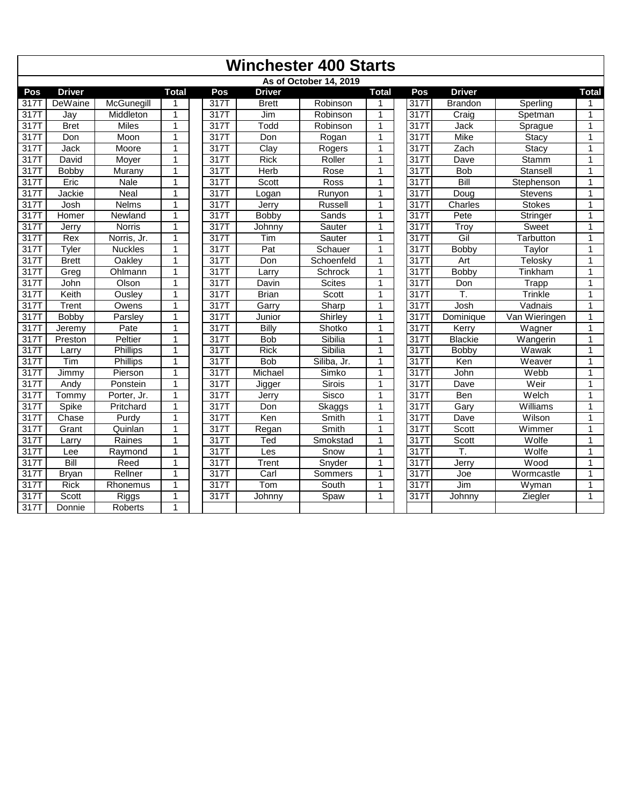|                  | <b>Winchester 400 Starts</b> |                 |                |  |      |                     |                        |              |  |      |                |                |              |
|------------------|------------------------------|-----------------|----------------|--|------|---------------------|------------------------|--------------|--|------|----------------|----------------|--------------|
|                  |                              |                 |                |  |      |                     | As of October 14, 2019 |              |  |      |                |                |              |
| Pos              | <b>Driver</b>                |                 | <b>Total</b>   |  | Pos  | <b>Driver</b>       |                        | <b>Total</b> |  | Pos  | <b>Driver</b>  |                | <b>Total</b> |
| 317T             | DeWaine                      | McGunegill      | 1              |  | 317T | <b>Brett</b>        | Robinson               | 1            |  | 317T | <b>Brandon</b> | Sperling       |              |
| 317T             | Jay                          | Middleton       | 1              |  | 317T | Jim                 | Robinson               | $\mathbf{1}$ |  | 317T | Craig          | Spetman        | $\mathbf{1}$ |
| 317T             | <b>Bret</b>                  | <b>Miles</b>    | $\mathbf{1}$   |  | 317T | Todd                | Robinson               | $\mathbf{1}$ |  | 317T | Jack           | Sprague        | $\mathbf{1}$ |
| 317T             | Don                          | Moon            | $\mathbf{1}$   |  | 317T | Don                 | Rogan                  | $\mathbf{1}$ |  | 317T | Mike           | Stacy          | $\mathbf{1}$ |
| 317T             | Jack                         | Moore           | 1              |  | 317T | Clav                | Rogers                 | $\mathbf{1}$ |  | 317T | Zach           | Stacy          | $\mathbf{1}$ |
| 317T             | David                        | Moyer           | $\mathbf{1}$   |  | 317T | <b>Rick</b>         | Roller                 | 1            |  | 317T | Dave           | Stamm          | 1            |
| 317T             | Bobby                        | Murany          | $\mathbf{1}$   |  | 317T | Herb                | Rose                   | 1            |  | 317T | <b>Bob</b>     | Stansell       | $\mathbf{1}$ |
| 317T             | Eric                         | <b>Nale</b>     | 1              |  | 317T | Scott               | Ross                   | $\mathbf{1}$ |  | 317T | Bill           | Stephenson     | 1            |
| 317 <sup>T</sup> | Jackie                       | Neal            | $\mathbf{1}$   |  | 317T | Logan               | Runyon                 | 1            |  | 317T | Doug           | <b>Stevens</b> | 1            |
| 317T             | Josh                         | <b>Nelms</b>    | $\mathbf{1}$   |  | 317T | Jerry               | Russell                | 1            |  | 317T | Charles        | <b>Stokes</b>  | 1            |
| 317T             | Homer                        | Newland         | $\mathbf{1}$   |  | 317T | Bobby               | Sands                  | $\mathbf{1}$ |  | 317T | Pete           | Stringer       | $\mathbf{1}$ |
| 317T             | Jerrv                        | <b>Norris</b>   | $\mathbf{1}$   |  | 317T | Johnnv              | Sauter                 | 1            |  | 317T | Troy           | Sweet          | 1            |
| 317T             | Rex                          | Norris, Jr.     | 1              |  | 317T | Tim                 | Sauter                 | $\mathbf{1}$ |  | 317T | Gil            | Tarbutton      | 1            |
| 317T             | Tyler                        | <b>Nuckles</b>  | $\overline{1}$ |  | 317T | Pat                 | Schauer                | $\mathbf{1}$ |  | 3171 | Bobby          | Taylor         | $\mathbf{1}$ |
| 317T             | <b>Brett</b>                 | Oakley          | $\mathbf{1}$   |  | 317T | Don                 | Schoenfeld             | 1            |  | 317T | Art            | Telosky        | $\mathbf{1}$ |
| 317T             | Grea                         | Ohlmann         | 1              |  | 317T | Larry               | Schrock                | 1            |  | 317T | <b>Bobby</b>   | Tinkham        | 1            |
| 317T             | John                         | Olson           | $\mathbf{1}$   |  | 317T | Davin               | <b>Scites</b>          | $\mathbf{1}$ |  | 317T | Don            | Trapp          | 1            |
| 317T             | Keith                        | Ousley          | $\mathbf{1}$   |  | 317T | Brian               | Scott                  | 1            |  | 317T | T.             | Trinkle        | 1            |
| 317T             | Trent                        | Owens           | $\mathbf{1}$   |  | 317T | Garry               | Sharp                  | $\mathbf{1}$ |  | 317T | Josh           | Vadnais        | 1            |
| 317              | Bobby                        | Parsley         | $\mathbf{1}$   |  | 317T | Junior              | Shirley                | $\mathbf{1}$ |  | 3171 | Dominique      | Van Wieringen  | $\mathbf{1}$ |
| 317T             | Jeremy                       | Pate            | $\mathbf{1}$   |  | 317T | Billy               | Shotko                 | 1            |  | 317T | Kerry          | Wagner         | $\mathbf{1}$ |
| 317T             | Preston                      | Peltier         | $\mathbf{1}$   |  | 317T | <b>Bob</b>          | Sibilia                | 1            |  | 317T | <b>Blackie</b> | Wangerin       | 1            |
| 317T             | Larry                        | <b>Phillips</b> | $\mathbf{1}$   |  | 317T | <b>Rick</b>         | Sibilia                | $\mathbf{1}$ |  | 317T | Bobby          | Wawak          | 1            |
| 317T             | Tim                          | Phillips        | 1              |  | 317T | <b>Bob</b>          | Siliba, Jr.            | 1            |  | 317T | Ken            | Weaver         | 1            |
| 317T             | Jimmy                        | Pierson         | $\mathbf{1}$   |  | 317T | Michael             | Simko                  | $\mathbf{1}$ |  | 317T | John           | Webb           | $\mathbf{1}$ |
| 317T             | Andy                         | Ponstein        | $\mathbf{1}$   |  | 317T | Jigger              | <b>Sirois</b>          | $\mathbf{1}$ |  | 3171 | Dave           | Weir           | $\mathbf{1}$ |
| 317T             | Tommy                        | Porter, Jr.     | $\mathbf{1}$   |  | 317T | Jerry               | Sisco                  | 1            |  | 317T | Ben            | Welch          | 1            |
| 317T             | Spike                        | Pritchard       | $\mathbf{1}$   |  | 317T | Don                 | Skaggs                 | $\mathbf{1}$ |  | 317T | Gary           | Williams       | 1            |
| 317T             | Chase                        | Purdy           | $\mathbf{1}$   |  | 317T | Ken                 | Smith                  | $\mathbf{1}$ |  | 317T | Dave           | Wilson         | $\mathbf{1}$ |
| 317T             | Grant                        | Quinlan         | 1              |  | 317T | Regan               | Smith                  | $\mathbf{1}$ |  | 317T | Scott          | Wimmer         | 1            |
| 317T             | Larry                        | Raines          | $\mathbf{1}$   |  | 317T | Ted                 | Smokstad               | $\mathbf{1}$ |  | 317T | Scott          | Wolfe          | $\mathbf{1}$ |
| 317T             | Lee                          | Raymond         | $\mathbf{1}$   |  | 317T | Les                 | Snow                   | $\mathbf{1}$ |  | 3171 | T.             | Wolfe          | $\mathbf{1}$ |
| 317T             | Bill                         | Reed            | 1              |  | 317T | $\overline{T}$ rent | Snyder                 | 1            |  | 317T | Jerry          | Wood           | 1            |
| $31\overline{7}$ | Bryan                        | Rellner         | 1              |  | 317T | Carl                | Sommers                | $\mathbf{1}$ |  | 317T | Joe            | Wormcastle     | 1            |
| 317T             | <b>Rick</b>                  | Rhonemus        | $\mathbf{1}$   |  | 317T | Tom                 | South                  | $\mathbf{1}$ |  | 317T | Jim            | Wyman          | $\mathbf{1}$ |
| 317T             | Scott                        | <b>Riggs</b>    | $\mathbf{1}$   |  | 317T | Johnny              | Spaw                   | 1            |  | 317T | Johnny         | Ziegler        | 1            |
| 317T             | Donnie                       | <b>Roberts</b>  | $\mathbf{1}$   |  |      |                     |                        |              |  |      |                |                |              |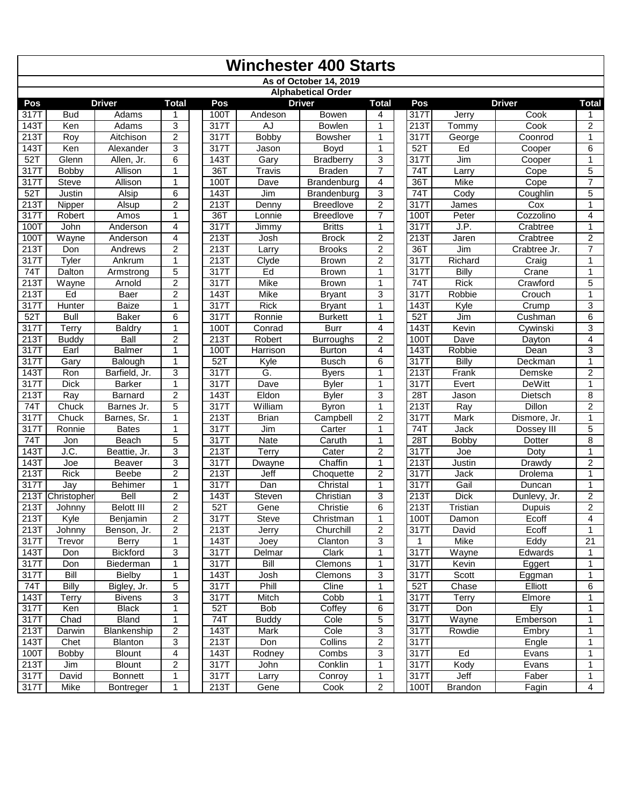|                   | <b>Winchester 400 Starts</b> |                                |                         |              |              |                              |                         |  |              |                |                         |                     |  |
|-------------------|------------------------------|--------------------------------|-------------------------|--------------|--------------|------------------------------|-------------------------|--|--------------|----------------|-------------------------|---------------------|--|
|                   |                              |                                |                         |              |              | As of October 14, 2019       |                         |  |              |                |                         |                     |  |
|                   |                              |                                |                         |              |              | <b>Alphabetical Order</b>    |                         |  |              |                |                         |                     |  |
| Pos               |                              | <b>Driver</b>                  | Total                   | Pos          |              | <b>Driver</b>                | <b>Total</b>            |  | Pos          |                | <b>Driver</b>           | Total               |  |
| 317T              | <b>Bud</b>                   | Adams                          | 1                       | 100T         | Andeson      | Bowen                        | 4                       |  | 317T         | Jerry          | Cook                    |                     |  |
| 143T              | Ken                          | Adams                          | 3                       | 317T         | AJ           | <b>Bowlen</b>                | 1                       |  | 213T         | Tommy          | Cook                    | $\overline{c}$      |  |
| 213T              | Roy                          | Aitchison                      | $\overline{2}$          | 317T         | <b>Bobby</b> | <b>Bowsher</b>               | 1                       |  | 3177         | George         | Coonrod                 | 1                   |  |
| 143T              | Ken                          | Alexander                      | 3                       | 317T         | Jason        | Boyd                         | 1                       |  | 52T          | Ed             | Cooper                  | 6                   |  |
| 52T               | Glenn                        | Allen, Jr.                     | 6                       | 143T         | Gary         | <b>Bradberry</b>             | 3                       |  | 317T         | Jim            | Cooper                  | 1                   |  |
| 317T              | Bobby                        | Allison                        | 1                       | 36T          | Travis       | <b>Braden</b>                | $\overline{7}$          |  | 74T          | Larry          | Cope                    | 5                   |  |
| 317T              | <b>Steve</b>                 | Allison                        | 1                       | 100T         | Dave         | Brandenburg                  | $\overline{4}$          |  | 36T          | <b>Mike</b>    | Cope                    | $\overline{7}$      |  |
| 52T               | <b>Justin</b>                | Alsip                          | 6                       | 143T         | Jim          | Brandenburg                  | 3                       |  | 74T          | Cody           | Coughlin                | 5                   |  |
| 213T              | Nipper                       | Alsup                          | $\overline{c}$          | 213T         | Denny        | <b>Breedlove</b>             | $\overline{2}$          |  | 3171         | James          | Cox                     | 1                   |  |
| 317T              | Robert                       | Amos                           | 1                       | 36T          | Lonnie       | <b>Breedlove</b>             | $\overline{7}$          |  | 100T         | Peter          | Cozzolino               | 4                   |  |
| 100T              | John                         | Anderson                       | 4                       | 317T         | Jimmy        | <b>Britts</b>                | $\mathbf{1}$            |  | 317T         | J.P.           | Crabtree                | 1                   |  |
| 100T              | Wayne                        | Anderson                       | 4                       | 213T         | Josh         | <b>Brock</b>                 | $\overline{c}$          |  | 213T         | Jaren          | Crabtree                | 2                   |  |
| 213T              | Don                          | Andrews                        | $\overline{c}$          | 213T         | Larry        | <b>Brooks</b>                | $\overline{c}$          |  | 36T          | Jim            | Crabtree Jr.            | $\overline{7}$      |  |
| 317T              | Tyler                        | Ankrum                         | 1                       | 213T         | Clyde        | <b>Brown</b>                 | $\overline{c}$          |  | 317T         | Richard        | Craig                   | 1                   |  |
| 74T               | Dalton                       | Armstrong                      | $\overline{5}$          | 317T         | Ed           | <b>Brown</b>                 | $\mathbf{1}$            |  | 317T         | <b>Billy</b>   | Crane                   | 1                   |  |
| 213T              | Wayne                        | Arnold                         | $\overline{2}$          | 317T         | <b>Mike</b>  | <b>Brown</b>                 | 1                       |  | 74T          | <b>Rick</b>    | Crawford                | 5                   |  |
| 213T              | Ed                           | Baer                           | $\overline{c}$          | 143T         | Mike         | <b>Bryant</b>                | 3                       |  | 317T         | Robbie         | Crouch                  | 1                   |  |
| 317T              | <b>Hunter</b>                | <b>Baize</b>                   | 1                       | 317T         | <b>Rick</b>  | <b>Bryant</b>                | $\mathbf{1}$            |  | 143T         | Kyle           | Crump                   | 3                   |  |
| $52$ T            | Bull                         | Baker                          | 6                       | 317T         | Ronnie       | <b>Burkett</b>               | 1                       |  | 52T          | Jim            | Cushman                 | 6                   |  |
| 317T              | Terry                        | <b>Baldry</b>                  | 1                       | 100T         | Conrad       | <b>Burr</b>                  | 4                       |  | 143T         | Kevin          | Cywinski                | 3                   |  |
| 213T              | <b>Buddy</b>                 | Ball                           | $\overline{2}$          | 213T         | Robert       | <b>Burroughs</b>             | $\overline{2}$          |  | 100T         | Dave           | Dayton                  | 4                   |  |
| 317T              | Earl                         | Balmer                         | 1                       | 100T         | Harrison     | <b>Burton</b>                | $\overline{4}$          |  | 143T         | Robbie         | Dean                    | 3                   |  |
| 317T              | Gary                         | Balough                        | 1                       | 52T          | Kyle         | <b>Busch</b>                 | 6                       |  | 317T         | Billy          | Deckman                 | 1                   |  |
| 143T<br>317T      | Ron<br><b>Dick</b>           | Barfield, Jr.<br><b>Barker</b> | 3<br>1                  | 317T<br>317T | G.<br>Dave   | <b>Byers</b><br><b>Byler</b> | 1<br>1                  |  | 213T<br>317T | Frank<br>Evert | Demske<br><b>DeWitt</b> | $\overline{c}$<br>1 |  |
| 213T              | Ray                          | <b>Barnard</b>                 | $\overline{2}$          | 143T         | Eldon        | <b>Byler</b>                 | 3                       |  | 28T          | Jason          | Dietsch                 | 8                   |  |
| 74T               | Chuck                        | Barnes Jr.                     | 5                       | 317T         | William      | <b>Byron</b>                 | $\mathbf{1}$            |  | 213T         | Ray            | <b>Dillon</b>           | $\overline{c}$      |  |
| 317T              | Chuck                        | Barnes, Sr.                    | 1                       | 213T         | <b>Brian</b> | Campbell                     | $\overline{c}$          |  | 3177         | Mark           | Dismore, Jr.            | 1                   |  |
| 317T              | Ronnie                       | <b>Bates</b>                   | 1                       | 317T         | Jim          | Carter                       | 1                       |  | 74T          | Jack           | Dossey III              | 5                   |  |
| 74T               | Jon                          | <b>Beach</b>                   | 5                       | 317T         | Nate         | Caruth                       | 1                       |  | 28T          | <b>Bobby</b>   | Dotter                  | 8                   |  |
| 143T              | J.C.                         | Beattie, Jr.                   | 3                       | 213T         | Terry        | Cater                        | $\overline{c}$          |  | 317T         | Joe            | Doty                    | 1                   |  |
| <b>143T</b>       | Joe                          | <b>Beaver</b>                  | 3                       | 317          | Dwayne       | Chaffin                      | $\mathbf{1}$            |  | 213T         | Justin         | Drawdy                  | 2                   |  |
| 213T              | Rick                         | Beebe                          | $\overline{2}$          | 213T         | Jeff         | Choquette                    | $\overline{c}$          |  | 317T         | Jack           | Drolema                 | 1                   |  |
| 317T              | Jay                          | <b>Behimer</b>                 | 1                       | 317T         | Dan          | Christal                     | 1                       |  | 317T         | Gail           | Duncan                  | 1                   |  |
| 213T              | Christopher                  | Bell                           | $\overline{c}$          | 143T         | Steven       | Christian                    | 3                       |  | 213T         | <b>Dick</b>    | Dunlevy, Jr.            | $\overline{c}$      |  |
| 213T              | Johnny                       | <b>Belott III</b>              | $\overline{2}$          | 52T          | Gene         | Christie                     | $\overline{6}$          |  | 213T         | Tristian       | Dupuis                  | $\overline{2}$      |  |
| 213T              | Kyle                         | Benjamin                       | $\overline{2}$          | 317T         | Steve        | Christman                    | $\mathbf{1}$            |  | 100T         | Damon          | Ecoff                   | 4                   |  |
| 213T              | Johnny                       | Benson, Jr.                    | $\overline{c}$          | 213T         | Jerry        | Churchill                    | $\overline{\mathbf{c}}$ |  | 317T         | David          | Ecoff                   | 1                   |  |
| 317T              | Trevor                       | Berry                          | 1                       | 143T         | Joey         | Clanton                      | 3                       |  | $\mathbf{1}$ | Mike           | Eddy                    | 21                  |  |
| 143T              | Don                          | Bickford                       | 3                       | 317T         | Delmar       | Clark                        | $\mathbf{1}$            |  | 317T         | Wayne          | Edwards                 | 1                   |  |
| 317 <sup>T</sup>  | Don                          | Biederman                      | $\mathbf{1}$            | 317T         | Bill         | Clemons                      | 1                       |  | 317T         | Kevin          | Eggert                  | 1                   |  |
| 317T              | Bill                         | <b>Bielby</b>                  | 1                       | 143T         | Josh         | Clemons                      | 3                       |  | 317T         | Scott          | Eggman                  | 1                   |  |
| 74T               | <b>Billy</b>                 | Bigley, Jr.                    | 5                       | 317T         | Phill        | Cline                        | 1                       |  | 52T          | Chase          | Elliott                 | 6                   |  |
| 143T              | Terry                        | <b>Bivens</b>                  | 3                       | 317T         | Mitch        | Cobb                         | 1                       |  | 317T         | <b>Terry</b>   | Elmore                  | 1                   |  |
| 317T              | Ken                          | Black                          | 1                       | 52T          | <b>Bob</b>   | Coffey                       | 6                       |  | 317T         | Don            | Ely                     | 1                   |  |
| 317T              | Chad                         | Bland                          | 1                       | 74T          | <b>Buddy</b> | Cole                         | 5                       |  | 317T         | Wayne          | Emberson                | $\mathbf{1}$        |  |
| 213T              | Darwin                       | Blankenship                    | $\overline{c}$          | 143T         | Mark         | Cole                         | 3                       |  | 317T         | Rowdie         | Embry                   | 1                   |  |
| $143\overline{T}$ | Chet                         | <b>Blanton</b>                 | $\mathbf{3}$            | 213T         | Don          | Collins                      | 2                       |  | 317T         |                | Engle                   | 1                   |  |
| 100T              | <b>Bobby</b>                 | <b>Blount</b>                  | 4                       | 143T         | Rodney       | Combs                        | 3                       |  | 317T         | Ed             | Evans                   | 1                   |  |
| 213T              | Jim                          | <b>Blount</b>                  | $\overline{\mathbf{c}}$ | 317T         | John         | Conklin                      | 1                       |  | 317T         | Kody           | Evans                   | 1                   |  |
| 317T              | David                        | <b>Bonnett</b>                 | 1                       | 317T         | <b>Larry</b> | Conroy                       | 1                       |  | 317T         | Jeff           | Faber                   | 1                   |  |
| 317T              | Mike                         | <b>Bontreger</b>               | 1                       | 213T         | Gene         | Cook                         | 2                       |  | 100T         | <b>Brandon</b> | Fagin                   | 4                   |  |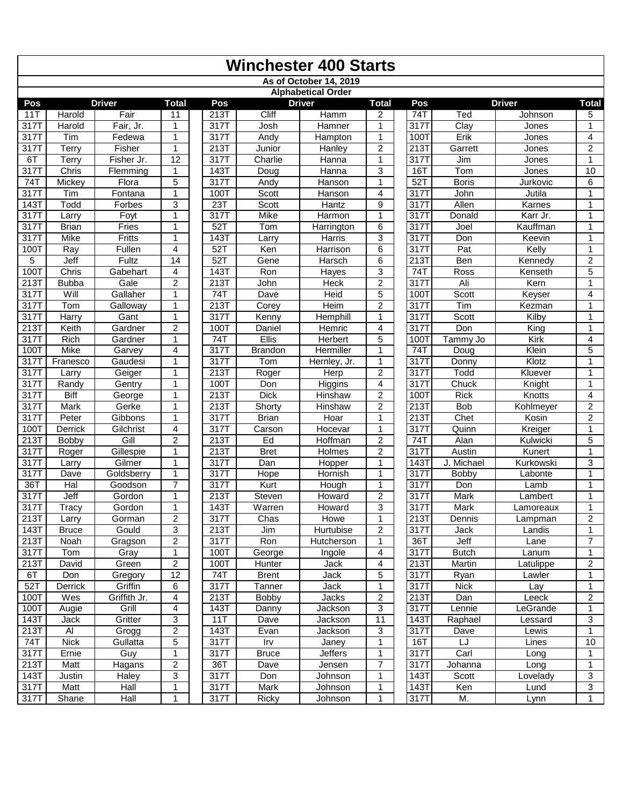|                   | <b>Winchester 400 Starts</b> |               |                     |  |                    |                    |                           |                |  |                  |                        |                  |                     |
|-------------------|------------------------------|---------------|---------------------|--|--------------------|--------------------|---------------------------|----------------|--|------------------|------------------------|------------------|---------------------|
|                   |                              |               |                     |  |                    |                    | As of October 14, 2019    |                |  |                  |                        |                  |                     |
|                   |                              |               |                     |  |                    |                    | <b>Alphabetical Order</b> |                |  |                  |                        |                  |                     |
| Pos               |                              | <b>Driver</b> | <b>Total</b>        |  | Pos                |                    | <b>Driver</b>             | <b>Total</b>   |  | Pos              |                        | <b>Driver</b>    | Total               |
| 11T               | Harold                       | Fair          | 11                  |  | 213T               | Cliff              | Hamm                      | $\overline{2}$ |  | 74T              | Ted                    | Johnson          | 5                   |
| 317T              | Harold                       | Fair, Jr.     | 1                   |  | 317T               | Josh               | <b>Hamner</b>             | $\mathbf{1}$   |  | 317T             | $\overline{C}$ lay     | Jones            | 1                   |
| 317T              | Tim                          | Fedewa        | 1                   |  | 317T               | Andy               | Hampton                   | $\mathbf{1}$   |  | 100T             | Erik                   | Jones            | 4                   |
| 317T              | Terry                        | Fisher        | 1                   |  | 213T               | Junior             | Hanley                    | $\overline{2}$ |  | 213T             | Garrett                | Jones            | $\overline{2}$      |
| 6T                | Terry                        | Fisher Jr.    | 12                  |  | 317T               | Charlie            | Hanna                     | $\mathbf{1}$   |  | 3171             | Jim                    | Jones            | 1                   |
| 317T              | Chris                        | Flemming      | 1                   |  | 143T               | Doug               | Hanna                     | 3              |  | 16T              | Tom                    | Jones            | 10                  |
| $\overline{74}$   | Mickey                       | Flora         | 5                   |  | 317T               | Andy               | Hanson                    | $\mathbf{1}$   |  | $52$ T           | <b>Boris</b>           | Jurkovic         | 6                   |
| 317T              | Tim                          | Fontana       | 1                   |  | 100T               | Scott              | Hanson                    | 4              |  | 317T             | John                   | Jutila           | 1                   |
| 143T              | Todd                         | Forbes        | 3                   |  | 23T                | Scott              | Hantz                     | 9              |  | 317T             | Allen                  | Karnes           | $\mathbf{1}$        |
| 3171              | Larry                        | Foyt          | 1                   |  | 317T               | <b>Mike</b>        | <b>Harmon</b>             | $\mathbf{1}$   |  | 317T             | Donald                 | Karr Jr.         | $\mathbf{1}$        |
| 317T              | Brian                        | Fries         | 1                   |  | 52T                | Tom                | Harrington                | 6              |  | $\overline{317}$ | Joel                   | Kauffman         | 1                   |
| 317T              | Mike                         | <b>Fritts</b> | 1                   |  | 143T               | Larry              | Harris                    | 3              |  | 317T             | Don                    | Keevin           | 1                   |
| 100T              | Ray                          | Fullen        | 4                   |  | $52$ T             | Ken                | Harrison                  | 6              |  | 317T             | Pat                    | Kelly            | 1                   |
| 5                 | Jeff                         | Fultz         | 14                  |  | 52T                | Gene               | <b>Harsch</b>             | 6              |  | 213T             | Ben                    | Kennedy          | $\overline{2}$      |
| 100T              | Chris                        | Gabehart      | 4                   |  | 143T               | Ron                | Hayes                     | 3              |  | 74T              | Ross                   | Kenseth          | 5                   |
| 213T              | <b>Bubba</b>                 | Gale          | 2                   |  | 213T               | John               | Heck                      | $\overline{c}$ |  | 3177             | Ali                    | Kern             |                     |
| 317T              | Will                         | Gallaher      | $\mathbf{1}$        |  | 74T                | Dave               | Heid                      | $\overline{5}$ |  | 100T             | Scott                  | Keyser           | $\overline{4}$      |
| 317T              | Tom                          | Galloway      | 1                   |  | 213T               | Corey              | Heim                      | $\overline{c}$ |  | 317T             | Tim                    | Kezman           | 1                   |
| 317T              | Harry                        | Gant          | 1                   |  | 317T               | Kenny              | Hemphill                  | $\mathbf{1}$   |  | 317T             | Scott                  | Kilby            | 1                   |
| 213T              | Keith                        | Gardner       | $\overline{2}$      |  | 100T               | Daniel             | Hemric                    | $\overline{4}$ |  | 317T             | Don                    | King             | 1                   |
| 317T              | Rich                         | Gardner       | 1                   |  | 74T                | Ellis              | <b>Herbert</b>            | 5              |  | 100T             | $\overline{T}$ ammy Jo | Kirk             | 4                   |
| 100T              | Mike                         | Garvey        | 4                   |  | 317T               | <b>Brandon</b>     | Hermiller                 | $\mathbf{1}$   |  | 74T              | Doug                   | Klein            | 5                   |
| 3171              | Franesco                     | Gaudesi       | $\mathbf{1}$        |  | 317T               | Tom                | Hernley, Jr.              | $\mathbf{1}$   |  | 3171             | Donny                  | Klotz            | 1                   |
| 317T              | Larrv                        | Geiger        | $\mathbf{1}$        |  | 213T               | Roger              | Herp                      | $\overline{c}$ |  | 317T             | Todd                   | Kluever          | 1                   |
| 317T              | Randy                        | Gentry        | 1                   |  | 100T               | Don                | Higgins                   | 4              |  | 317T             | Chuck                  | Knight           | 1                   |
| 317T              | <b>Biff</b>                  | George        | 1                   |  | 213T               | <b>Dick</b>        | Hinshaw                   | $\overline{c}$ |  | 100T             | <b>Rick</b>            | Knotts           | $\overline{4}$      |
| 317T              | Mark                         | Gerke         | $\mathbf{1}$        |  | 213T               | Shorty             | Hinshaw                   | $\overline{c}$ |  | 213T             | <b>Bob</b>             | Kohlmeyer        | $\overline{2}$      |
| 317T              | Peter                        | Gibbons       | $\mathbf{1}$        |  | 317T               | <b>Brian</b>       | Hoar                      | $\mathbf{1}$   |  | 213T             | Chet                   | Kosin            | $\overline{2}$      |
| 100T              | Derrick                      | Gilchrist     | 4                   |  | 317T               | Carson             | Hocevar                   | $\mathbf{1}$   |  | 317T             | Quinn                  | Kreiger          | 1                   |
| 213T              | Bobby                        | Gill          | 2                   |  | 213T               | Ed                 | Hoffman                   | $\overline{c}$ |  | 74T              | Alan                   | Kulwicki         | 5                   |
| 317T              | Roger                        | Gillespie     | $\mathbf{1}$        |  | 213T               | <b>Bret</b>        | Holmes                    | $\overline{2}$ |  | 317T             | Austin                 | <b>Kunert</b>    | 1                   |
| 317T              | Larry                        | Gilmer        | 1                   |  | 317T               | Dan                | Hopper                    | $\mathbf{1}$   |  | 143              | J. Michael             | Kurkowski        | 3                   |
| 317T              | Dave                         | Goldsberry    | 1                   |  | 317T               | <b>Hope</b>        | Hornish                   | $\mathbf{1}$   |  | 317T             | <b>Bobby</b>           | Labonte          | 1                   |
| 36T               | Hal                          | Goodson       | $\overline{7}$      |  | $\overline{317}$ T | Kurt               | Hough                     | $\mathbf{1}$   |  | 317T             | Don                    | Lamb             | $\mathbf{1}$        |
| 3171              | Jeff                         | Gordon        | 1                   |  | 213T               | Steven             | Howard                    | $\overline{2}$ |  | 317T             | Mark                   | Lambert          | 1                   |
| 317T              | <b>Tracy</b>                 | Gordon        | 1                   |  | 143T               | Warren             | Howard                    | 3              |  | 317T             | Mark                   | Lamoreaux        | 1                   |
| 213T              | Larry                        | Gorman        | $\overline{2}$      |  | 317T               | Chas               | Howe                      | $\mathbf{1}$   |  | 213T             | Dennis                 | Lampman          | $\overline{2}$      |
| 143T              | <b>Bruce</b>                 | Gould         | 3                   |  | 213T               | Jim                | Hurtubise                 | 2              |  | 317T<br>36T      | Jack                   | Landis           | 1<br>$\overline{7}$ |
| 213T              | Noah                         | Gragson       | 2                   |  | 317T               | Ron                | Hutcherson                | $\mathbf{1}$   |  |                  | Jeff                   | Lane             |                     |
| $317\overline{T}$ | Tom                          | Gray          | 1<br>$\overline{2}$ |  | 100T               | George             | Ingole                    | 4              |  | 317T             | <b>Butch</b>           | Lanum            | 1<br>$\overline{2}$ |
| 213T              | David                        | Green         |                     |  | 100T               | Hunter             | Jack                      | 4              |  | 213T             | Martin                 | Latulippe        |                     |
| 6T                | Don                          | Gregory       | $\overline{12}$     |  | 74T                | <b>Brent</b>       | Jack                      | 5              |  | 317T             | Ryan                   | Lawler           | $\mathbf{1}$        |
| 52T               | Derrick                      | Griffin       | 6                   |  | 317T               | Tanner             | Jack                      | 1              |  | 317T             | <b>Nick</b>            | Lay              | 1                   |
| 100T              | Wes                          | Griffith Jr.  | 4                   |  | 213T               | Bobby              | Jacks                     | $\overline{c}$ |  | 213T             | Dan                    | Leeck            | $\overline{c}$      |
| 100T              | Augie                        | Grill         | $\overline{4}$      |  | 143T               | Danny              | Jackson                   | 3              |  | 317T             | Lennie                 | LeGrande         | 1                   |
| 143T              | Jack                         | Gritter       | 3                   |  | 11T                | Dave               | Jackson                   | 11             |  | 143T             | Raphael                | Lessard          | 3                   |
| 213T              | AI                           | Grogg         | $\overline{2}$      |  | 143T               | Evan               | Jackson                   | 3              |  | 317T             | Dave                   | Lewis            | 1                   |
| 74T               | <b>Nick</b>                  | Gullatta      | 5                   |  | 317T               | Irv                | Janey                     | $\mathbf{1}$   |  | 16T              | LJ                     | Lines            | 10                  |
| 317T              | Ernie                        | Guy           | 1                   |  | 317T               | <b>Bruce</b>       | <b>Jeffers</b>            | 1              |  | 317T             | Carl                   | Long             | $\mathbf{1}$        |
| 213T              | Matt                         | Hagans        | 2                   |  | 36T                | Dave               | Jensen                    | 7              |  | 317T             | Johanna                | Long             | 1                   |
| 143T              | Justin                       | Haley<br>Hall | 3                   |  | 317T               | Don<br><b>Mark</b> | Johnson                   | $\mathbf{1}$   |  | 143T<br>143T     | Scott                  | Lovelady<br>Lund | 3<br>$\overline{3}$ |
| 317T              | Matt                         |               | 1                   |  | 317T               |                    | Johnson                   | 1              |  |                  | Ken                    |                  |                     |
| 317T              | Shane                        | Hall          | $\mathbf{1}$        |  | 317T               | Ricky              | Johnson                   | 1              |  | 317T             | M.                     | Lynn             | $\mathbf{1}$        |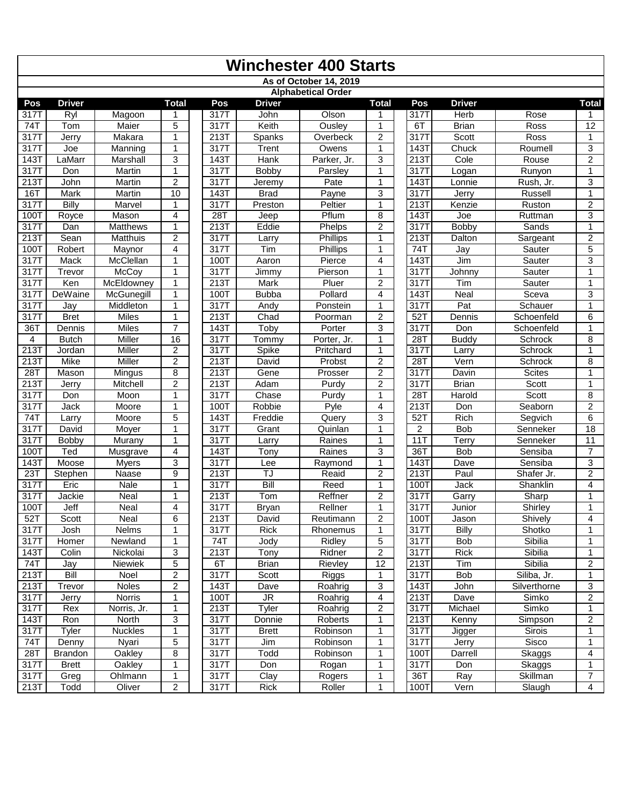|              | <b>Winchester 400 Starts</b> |                    |                     |  |              |                 |                           |                                |  |                   |                       |                        |                     |
|--------------|------------------------------|--------------------|---------------------|--|--------------|-----------------|---------------------------|--------------------------------|--|-------------------|-----------------------|------------------------|---------------------|
|              |                              |                    |                     |  |              |                 | As of October 14, 2019    |                                |  |                   |                       |                        |                     |
|              |                              |                    |                     |  |              |                 | <b>Alphabetical Order</b> |                                |  |                   |                       |                        |                     |
| Pos          | <b>Driver</b>                |                    | <b>Total</b>        |  | Pos          | <b>Driver</b>   |                           | <b>Total</b>                   |  | Pos               | <b>Driver</b>         |                        | Total               |
| 317T         | Ryl                          | Magoon             | 1                   |  | 317T         | John            | Olson                     | 1                              |  | 317T              | Herb                  | Rose                   |                     |
| 741          | Tom                          | Maier              | 5                   |  | 317T         | Keith           | Ousley                    | 1                              |  | 6T                | <b>Brian</b>          | Ross                   | 12                  |
| 317T         | Jerry                        | Makara             | 1                   |  | 213T         | Spanks          | Overbeck                  | $\overline{c}$                 |  | 317T              | Scott                 | Ross                   | 1                   |
| 3171         | Joe                          | Manning            | $\mathbf{1}$        |  | 317T         | Trent           | Owens                     | $\mathbf{1}$                   |  | $\overline{1431}$ | Chuck                 | Roumell                | 3                   |
| 143          | LaMarr                       | Marshall           | 3                   |  | 143T         | Hank            | Parker, Jr.               | 3                              |  | 213T              | Cole                  | Rouse                  | $\overline{2}$      |
| 317T         | Don                          | Martin             | $\overline{1}$      |  | 317T         | Bobby           | Parsley                   | $\mathbf 1$                    |  | 317T              | Logan                 | Runyon                 | 1                   |
| 213T         | John                         | Martin             | 2                   |  | 317T         | Jeremy          | Pate                      | $\mathbf{1}$                   |  | 143               | Lonnie                | Rush, Jr.              | 3                   |
| 16T          | Mark                         | Martin             | 10                  |  | 143T         | <b>Brad</b>     | Payne                     | 3                              |  | 317T              | Jerry                 | Russell                | $\mathbf{1}$        |
| 317T         | <b>Billy</b>                 | Marvel             | 1                   |  | 317T         | Preston         | Peltier                   | $\overline{1}$                 |  | 213T              | Kenzie                | Ruston                 | $\overline{2}$      |
| 1001         | Royce                        | Mason              | 4                   |  | 28T          | Jeep            | Pflum                     | 8                              |  | 143T              | Joe                   | Ruttman                | 3                   |
| 317T         | Dan                          | <b>Matthews</b>    | 1                   |  | 213T         | Eddie           | Phelps                    | $\overline{c}$                 |  | 317T              | Bobby                 | Sands                  | 1                   |
| 213T         | Sean                         | Matthuis           | $\overline{2}$      |  | 317T         | Larry           | Phillips                  | 1                              |  | 213T              | Dalton                | Sargeant               | $\overline{2}$      |
| 100T         | Robert                       | Maynor             | 4                   |  | 317T         | Tim             | <b>Phillips</b>           | $\mathbf{1}$                   |  | 74T               | Jay                   | Sauter                 | 5                   |
| 317T         | Mack                         | McClellan          | 1                   |  | 100T         | Aaron           | Pierce                    | 4                              |  | 143               | Jim                   | Sauter                 | 3                   |
| 317T         | Trevor                       | McCoy              | 1                   |  | 317T         | Jimmy           | Pierson                   | $\mathbf{1}$                   |  | 317T              | Johnny                | Sauter                 | 1                   |
| 317T         | Ken                          | McEldowney         | $\mathbf{1}$        |  | 213T         | Mark            | Pluer                     | $\overline{2}$                 |  | 317T              | Tim                   | Sauter                 | 1                   |
| 3171         | DeWaine                      | McGunegill         | $\mathbf{1}$        |  | 100T         | <b>Bubba</b>    | Pollard                   | $\overline{4}$                 |  | $\overline{1431}$ | Neal                  | Sceva                  | 3                   |
| 3171         | Jay                          | Middleton          | $\mathbf{1}$        |  | 317T         | Andy            | Ponstein                  | 1                              |  | 317T              | $\overline{Pat}$      | Schauer                | 1                   |
| 317T         | <b>Bret</b>                  | <b>Miles</b>       | 1                   |  | 213T         | Chad            | Poorman                   | $\overline{2}$                 |  | $52$ T            | Dennis                | Schoenfeld             | 6                   |
| 36T          | Dennis                       | Miles              | $\overline{7}$      |  | 143T         | Toby            | Porter                    | 3                              |  | $\overline{3171}$ | Don                   | Schoenfeld             | 1                   |
| 4            | <b>Butch</b>                 | Miller             | 16                  |  | 317T         | Tommy           | Porter, Jr.               | $\mathbf{1}$                   |  | 28T               | <b>Buddy</b>          | Schrock                | 8                   |
| 2131         | Jordan                       | Miller             | 2                   |  | 317T         | Spike           | Pritchard                 | $\mathbf{1}$                   |  | 317T              | Larry                 | Schrock                | 1                   |
| 213T         | <b>Mike</b>                  | <b>Miller</b>      | $\overline{2}$      |  | 213T         | David           | Probst                    | $\overline{2}$                 |  | 28T               | Vern                  | Schrock                | 8                   |
| 28T          | Mason<br>Jerry               | Mingus<br>Mitchell | 8<br>$\overline{2}$ |  | 213T<br>213T | Gene<br>Adam    | Prosser<br>Purdv          | $\overline{2}$                 |  | 3177<br>317T      | Davin<br><b>Brian</b> | <b>Scites</b><br>Scott | 1<br>1              |
| 213T         |                              |                    | 1                   |  | 317T         |                 |                           | $\overline{c}$<br>$\mathbf{1}$ |  | 28T               |                       | Scott                  |                     |
| 317T<br>317T | Don<br>Jack                  | Moon<br>Moore      | $\mathbf{1}$        |  | 100T         | Chase<br>Robbie | Purdy<br>Pyle             | 4                              |  | 213T              | Harold<br>Don         | Seaborn                | 8<br>$\overline{2}$ |
| 74T          | Larry                        | Moore              | 5                   |  | 143T         | Freddie         | Query                     | 3                              |  | 52T               | Rich                  | Segvich                | 6                   |
| 317          | David                        |                    | 1                   |  | 317T         | Grant           | Quinlan                   | $\mathbf{1}$                   |  | $\overline{2}$    | <b>Bob</b>            | Senneker               | $\overline{18}$     |
| 317T         | Bobby                        | Moyer<br>Murany    | $\mathbf{1}$        |  | 317T         | Larry           | Raines                    | $\mathbf{1}$                   |  | 11T               | Terry                 | Senneker               | 11                  |
| 100T         | Ted                          | Musgrave           | $\overline{4}$      |  | 143T         | Tony            | Raines                    | 3                              |  | 36T               | Bob                   | Sensiba                | $\overline{7}$      |
| 143          | Moose                        | <b>Myers</b>       | 3                   |  | 317T         | Lee             | Raymond                   | $\mathbf{1}$                   |  | 143               | Dave                  | Sensiba                | 3                   |
| 23T          | Stephen                      | Naase              | 9                   |  | 213T         | TJ              | Reaid                     | $\overline{c}$                 |  | 213T              | Paul                  | Shafer Jr.             | $\overline{2}$      |
| 317T         | Eric                         | <b>Nale</b>        | $\mathbf{1}$        |  | 317T         | Bill            | Reed                      | $\mathbf{1}$                   |  | 100T              | Jack                  | Shanklin               | $\overline{4}$      |
| 3171         | Jackie                       | Neal               | 1                   |  | 213T         | Tom             | Reffner                   | $\overline{2}$                 |  | 317T              | Garry                 | Sharp                  | 1                   |
| 100T         | Jeff                         | Neal               | 4                   |  | 317T         | <b>Bryan</b>    | Rellner                   | $\mathbf 1$                    |  | 317T              | Junior                | Shirley                | 1                   |
| 52T          | Scott                        | Neal               | 6                   |  | 213T         | David           | Reutimann                 | $\overline{2}$                 |  | $\overline{1}00$  | Jason                 | Shively                | 4                   |
| 317T         | Josh                         | <b>Nelms</b>       | 1                   |  | 317T         | Rick            | Rhonemus                  | 1                              |  | 317T              | <b>Billy</b>          | Shotko                 | 1                   |
| 317T         | <b>Homer</b>                 | Newland            | 1                   |  | 74T          | Jody            | Ridley                    | 5                              |  | 317T              | Bob                   | Sibilia                | 1                   |
| 143T         | Colin                        | Nickolai           | 3                   |  | 213T         | Tony            | Ridner                    | $\overline{c}$                 |  | 317T              | Rick                  | Sibilia                | 1                   |
| 74T          | Jay                          | Niewiek            | 5                   |  | 6T           | <b>Brian</b>    | Rievley                   | $\overline{12}$                |  | 213T              | Tim                   | Sibilia                | $\overline{2}$      |
| 213T         | Bill                         | Noel               | $\overline{2}$      |  | 317T         | Scott           | Riggs                     | $\mathbf{1}$                   |  | 317T              | Bob                   | Siliba, Jr.            | $\mathbf{1}$        |
| 213T         | Trevor                       | Noles              | $\overline{2}$      |  | 143T         | Dave            | Roahrig                   | 3                              |  | 143T              | John                  | Silverthorne           | 3                   |
| 317T         | Jerry                        | Norris             | 1                   |  | 100T         | JR              | Roahrig                   | 4                              |  | 213T              | Dave                  | Simko                  | $\overline{c}$      |
| 317T         | Rex                          | Norris, Jr.        | 1                   |  | 213T         | Tyler           | Roahrig                   | 2                              |  | 317T              | Michael               | Simko                  | 1                   |
| 143T         | Ron                          | North              | 3                   |  | 317T         | Donnie          | Roberts                   | 1                              |  | 213T              | Kenny                 | Simpson                | $\overline{c}$      |
| 317T         | Tyler                        | <b>Nuckles</b>     | $\mathbf{1}$        |  | 317T         | <b>Brett</b>    | Robinson                  | $\mathbf{1}$                   |  | 317T              | Jigger                | Sirois                 | 1                   |
| 74T          | Denny                        | Nyari              | 5                   |  | 317T         | Jim             | Robinson                  | $\mathbf{1}$                   |  | 317T              | Jerry                 | Sisco                  | 1                   |
| 28T          | <b>Brandon</b>               | Oakley             | 8                   |  | 317T         | Todd            | Robinson                  | 1                              |  | 100T              | Darrell               | Skaggs                 | 4                   |
| 317T         | <b>Brett</b>                 | Oakley             | 1                   |  | 317T         | Don             | Rogan                     | 1                              |  | 317T              | Don                   | Skaggs                 | 1                   |
| 317T         | Greg                         | Ohlmann            | 1                   |  | 317T         | Clay            | Rogers                    | $\mathbf{1}$                   |  | 36T               | Ray                   | Skillman               | $\overline{7}$      |
| 213T         | Todd                         | Oliver             | 2                   |  | 317T         | Rick            | Roller                    | 1                              |  | 100T              | Vern                  | Slaugh                 | $\overline{4}$      |